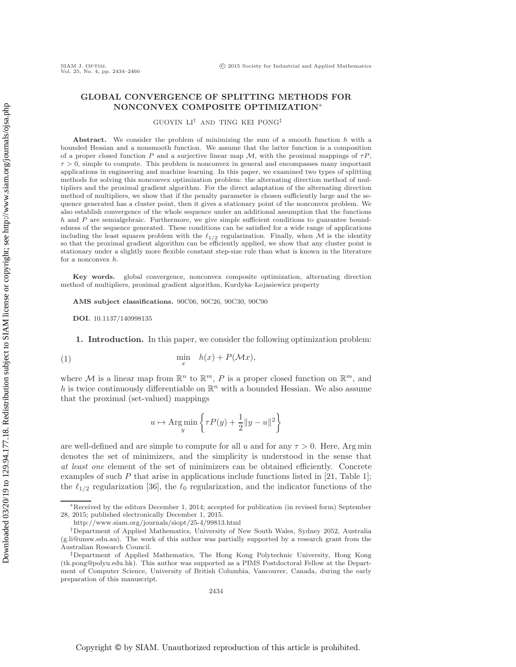# **GLOBAL CONVERGENCE OF SPLITTING METHODS FOR NONCONVEX COMPOSITE OPTIMIZATION**∗

GUOYIN LI† AND TING KEI PONG‡

Abstract. We consider the problem of minimizing the sum of a smooth function h with a bounded Hessian and a nonsmooth function. We assume that the latter function is a composition of a proper closed function P and a surjective linear map  $\mathcal{M}$ , with the proximal mappings of  $\tau P$ ,  $\tau > 0$ , simple to compute. This problem is nonconvex in general and encompasses many important applications in engineering and machine learning. In this paper, we examined two types of splitting methods for solving this nonconvex optimization problem: the alternating direction method of multipliers and the proximal gradient algorithm. For the direct adaptation of the alternating direction method of multipliers, we show that if the penalty parameter is chosen sufficiently large and the sequence generated has a cluster point, then it gives a stationary point of the nonconvex problem. We also establish convergence of the whole sequence under an additional assumption that the functions  $h$  and  $P$  are semialgebraic. Furthermore, we give simple sufficient conditions to guarantee boundedness of the sequence generated. These conditions can be satisfied for a wide range of applications including the least squares problem with the  $\ell_{1/2}$  regularization. Finally, when M is the identity so that the proximal gradient algorithm can be efficiently applied, we show that any cluster point is stationary under a slightly more flexible constant step-size rule than what is known in the literature for a nonconvex h.

**Key words.** global convergence, nonconvex composite optimization, alternating direction method of multipliers, proximal gradient algorithm, Kurdyka–Lojasiewicz property

**AMS subject classifications.** 90C06, 90C26, 90C30, 90C90

**DOI.** 10.1137/140998135

**1. Introduction.** In this paper, we consider the following optimization problem:

(1) 
$$
\min_{x} h(x) + P(\mathcal{M}x),
$$

where M is a linear map from  $\mathbb{R}^n$  to  $\mathbb{R}^m$ , P is a proper closed function on  $\mathbb{R}^m$ , and h is twice continuously differentiable on  $\mathbb{R}^n$  with a bounded Hessian. We also assume that the proximal (set-valued) mappings

<span id="page-0-0"></span>
$$
u \mapsto \operatorname*{Arg\,min}_y \left\{ \tau P(y) + \frac{1}{2} \|y - u\|^2 \right\}
$$

are well-defined and are simple to compute for all u and for any  $\tau > 0$ . Here, Arg min denotes the set of minimizers, and the simplicity is understood in the sense that *at least one* element of the set of minimizers can be obtained efficiently. Concrete examples of such  $P$  that arise in applications include functions listed in [\[21,](#page-26-0) Table 1]; the  $\ell_{1/2}$  regularization [\[36\]](#page-26-1), the  $\ell_0$  regularization, and the indicator functions of the

<sup>∗</sup>Received by the editors December 1, 2014; accepted for publication (in revised form) September 28, 2015; published electronically December 1, 2015.

<http://www.siam.org/journals/siopt/25-4/99813.html>

<sup>†</sup>Department of Applied Mathematics, University of New South Wales, Sydney 2052, Australia [\(g.li@unsw.edu.au\)](mailto:g.li@unsw.edu.au). The work of this author was partially supported by a research grant from the Australian Research Council.

<sup>‡</sup>Department of Applied Mathematics, The Hong Kong Polytechnic University, Hong Kong [\(tk.pong@polyu.edu.hk\)](mailto:tk.pong@polyu.edu.hk). This author was supported as a PIMS Postdoctoral Fellow at the Department of Computer Science, University of British Columbia, Vancouver, Canada, during the early preparation of this manuscript.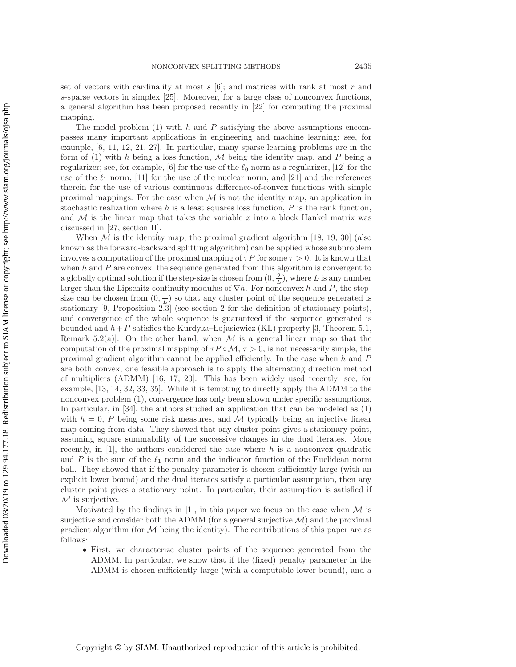set of vectors with cardinality at most  $s$  [\[6\]](#page-25-0); and matrices with rank at most  $r$  and s-sparse vectors in simplex [\[25\]](#page-26-2). Moreover, for a large class of nonconvex functions, a general algorithm has been proposed recently in [\[22\]](#page-26-3) for computing the proximal mapping.

The model problem  $(1)$  with h and P satisfying the above assumptions encompasses many important applications in engineering and machine learning; see, for example, [\[6,](#page-25-0) [11,](#page-25-1) [12,](#page-25-2) [21,](#page-26-0) [27\]](#page-26-4). In particular, many sparse learning problems are in the form of [\(1\)](#page-0-0) with h being a loss function,  $M$  being the identity map, and P being a regularizer; see, for example, [\[6\]](#page-25-0) for the use of the  $\ell_0$  norm as a regularizer, [\[12\]](#page-25-2) for the use of the  $\ell_1$  norm, [\[11\]](#page-25-1) for the use of the nuclear norm, and [\[21\]](#page-26-0) and the references therein for the use of various continuous difference-of-convex functions with simple proximal mappings. For the case when  $\mathcal M$  is not the identity map, an application in stochastic realization where  $h$  is a least squares loss function,  $P$  is the rank function, and  $M$  is the linear map that takes the variable x into a block Hankel matrix was discussed in [\[27,](#page-26-4) section II].

When  $\mathcal M$  is the identity map, the proximal gradient algorithm [\[18,](#page-25-3) [19,](#page-26-5) [30\]](#page-26-6) (also known as the forward-backward splitting algorithm) can be applied whose subproblem involves a computation of the proximal mapping of  $\tau P$  for some  $\tau > 0$ . It is known that when  $h$  and  $P$  are convex, the sequence generated from this algorithm is convergent to a globally optimal solution if the step-size is chosen from  $(0, \frac{2}{L})$ , where L is any number larger than the Lipschitz continuity modulus of  $\nabla h$ . For nonconvex h and P, the stepsize can be chosen from  $(0, \frac{1}{L})$  so that any cluster point of the sequence generated is stationary [\[9,](#page-25-4) Proposition 2.3] (see section [2](#page-2-0) for the definition of stationary points), and convergence of the whole sequence is guaranteed if the sequence generated is bounded and  $h + P$  satisfies the Kurdyka–Lojasiewicz (KL) property [\[3,](#page-25-5) Theorem 5.1, Remark 5.2(a). On the other hand, when  $\mathcal M$  is a general linear map so that the computation of the proximal mapping of  $\tau P \circ M$ ,  $\tau > 0$ , is not necessarily simple, the proximal gradient algorithm cannot be applied efficiently. In the case when  $h$  and  $P$ are both convex, one feasible approach is to apply the alternating direction method of multipliers (ADMM) [\[16,](#page-25-6) [17,](#page-25-7) [20\]](#page-26-7). This has been widely used recently; see, for example, [\[13,](#page-25-8) [14,](#page-25-9) [32,](#page-26-8) [33,](#page-26-9) [35\]](#page-26-10). While it is tempting to directly apply the ADMM to the nonconvex problem [\(1\)](#page-0-0), convergence has only been shown under specific assumptions. In particular, in [\[34\]](#page-26-11), the authors studied an application that can be modeled as [\(1\)](#page-0-0) with  $h = 0$ , P being some risk measures, and M typically being an injective linear map coming from data. They showed that any cluster point gives a stationary point, assuming square summability of the successive changes in the dual iterates. More recently, in  $[1]$ , the authors considered the case where h is a nonconvex quadratic and P is the sum of the  $\ell_1$  norm and the indicator function of the Euclidean norm ball. They showed that if the penalty parameter is chosen sufficiently large (with an explicit lower bound) and the dual iterates satisfy a particular assumption, then any cluster point gives a stationary point. In particular, their assumption is satisfied if  $M$  is surjective.

Motivated by the findings in [\[1\]](#page-25-10), in this paper we focus on the case when  $\mathcal M$  is surjective and consider both the ADMM (for a general surjective  $\mathcal{M}$ ) and the proximal gradient algorithm (for  $M$  being the identity). The contributions of this paper are as follows:

• First, we characterize cluster points of the sequence generated from the ADMM. In particular, we show that if the (fixed) penalty parameter in the ADMM is chosen sufficiently large (with a computable lower bound), and a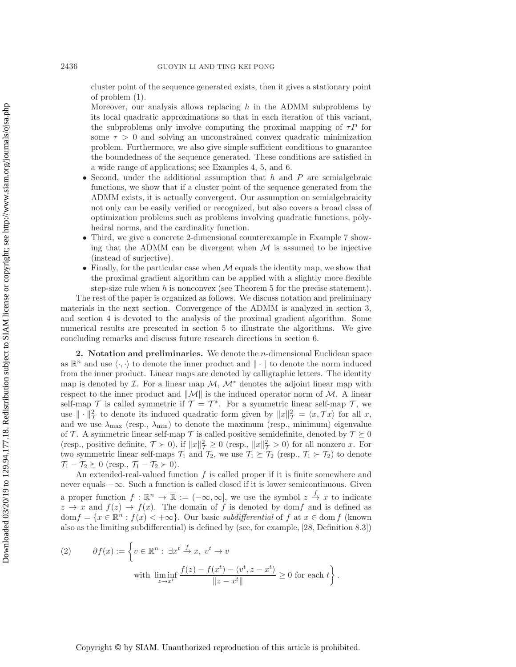cluster point of the sequence generated exists, then it gives a stationary point of problem [\(1\)](#page-0-0).

Moreover, our analysis allows replacing  $h$  in the ADMM subproblems by its local quadratic approximations so that in each iteration of this variant, the subproblems only involve computing the proximal mapping of  $\tau P$  for some  $\tau > 0$  and solving an unconstrained convex quadratic minimization problem. Furthermore, we also give simple sufficient conditions to guarantee the boundedness of the sequence generated. These conditions are satisfied in a wide range of applications; see Examples [4,](#page-12-0) [5,](#page-12-1) and [6.](#page-13-0)

- Second, under the additional assumption that  $h$  and  $P$  are semialgebraic functions, we show that if a cluster point of the sequence generated from the ADMM exists, it is actually convergent. Our assumption on semialgebraicity not only can be easily verified or recognized, but also covers a broad class of optimization problems such as problems involving quadratic functions, polyhedral norms, and the cardinality function.
- Third, we give a concrete 2-dimensional counterexample in Example [7](#page-17-0) showing that the ADMM can be divergent when  $M$  is assumed to be injective (instead of surjective).
- Finally, for the particular case when  $M$  equals the identity map, we show that the proximal gradient algorithm can be applied with a slightly more flexible step-size rule when  $h$  is nonconvex (see Theorem [5](#page-18-0) for the precise statement).

The rest of the paper is organized as follows. We discuss notation and preliminary materials in the next section. Convergence of the ADMM is analyzed in section [3,](#page-4-0) and section [4](#page-18-1) is devoted to the analysis of the proximal gradient algorithm. Some numerical results are presented in section [5](#page-20-0) to illustrate the algorithms. We give concluding remarks and discuss future research directions in section [6.](#page-24-0)

<span id="page-2-0"></span>**2. Notation and preliminaries.** We denote the n-dimensional Euclidean space as  $\mathbb{R}^n$  and use  $\langle \cdot, \cdot \rangle$  to denote the inner product and  $\|\cdot\|$  to denote the norm induced from the inner product. Linear maps are denoted by calligraphic letters. The identity map is denoted by  $\mathcal I$ . For a linear map  $\mathcal M$ ,  $\mathcal M^*$  denotes the adjoint linear map with respect to the inner product and  $\|\mathcal{M}\|$  is the induced operator norm of M. A linear self-map  $\mathcal T$  is called symmetric if  $\mathcal T = \mathcal T^*$ . For a symmetric linear self-map  $\mathcal T$ , we use  $\|\cdot\|^2_{\mathcal{T}}$  to denote its induced quadratic form given by  $\|x\|^2_{\mathcal{T}} = \langle x, \mathcal{T}x \rangle$  for all x, and we use  $\lambda_{\text{max}}$  (resp.,  $\lambda_{\text{min}}$ ) to denote the maximum (resp., minimum) eigenvalue of T. A symmetric linear self-map T is called positive semidefinite, denoted by  $T \succeq 0$ (resp., positive definite,  $\mathcal{T} \succ 0$ ), if  $||x||^2 \geq 0$  (resp.,  $||x||^2 \geq 0$ ) for all nonzero x. For two symmetric linear self-maps  $\mathcal{T}_1$  and  $\mathcal{T}_2$ , we use  $\mathcal{T}_1 \succeq \mathcal{T}_2$  (resp.,  $\mathcal{T}_1 \succ \mathcal{T}_2$ ) to denote  $\mathcal{T}_1 - \mathcal{T}_2 \succeq 0$  (resp.,  $\mathcal{T}_1 - \mathcal{T}_2 \succ 0$ ).

An extended-real-valued function  $f$  is called proper if it is finite somewhere and never equals −∞. Such a function is called closed if it is lower semicontinuous. Given a proper function  $f : \mathbb{R}^n \to \overline{\mathbb{R}} := (-\infty, \infty]$ , we use the symbol  $z \stackrel{f}{\to} x$  to indicate  $z \to x$  and  $f(z) \to f(x)$ . The domain of f is denoted by domf and is defined as  $dom f = \{x \in \mathbb{R}^n : f(x) < +\infty\}$ . Our basic *subdifferential* of f at  $x \in dom f$  (known also as the limiting subdifferential) is defined by (see, for example, [\[28,](#page-26-12) Definition 8.3])

<span id="page-2-1"></span>(2) 
$$
\partial f(x) := \left\{ v \in \mathbb{R}^n : \exists x^t \stackrel{f}{\to} x, \ v^t \to v \right\}
$$
  
with 
$$
\liminf_{z \to x^t} \frac{f(z) - f(x^t) - \langle v^t, z - x^t \rangle}{\|z - x^t\|} \ge 0 \text{ for each } t \right\}.
$$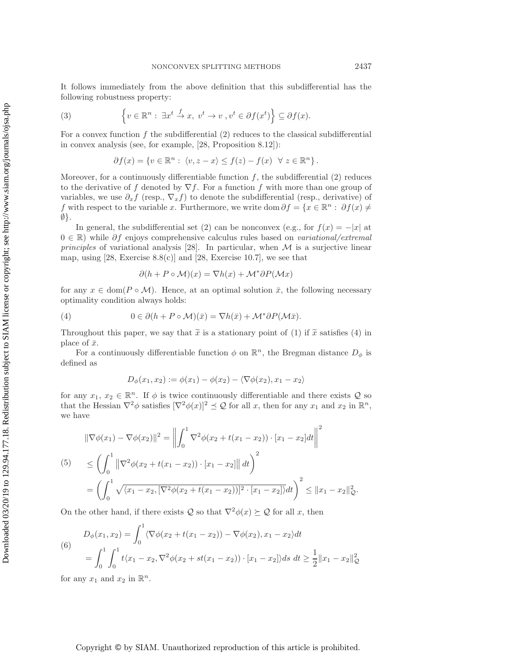It follows immediately from the above definition that this subdifferential has the following robustness property:

(3) 
$$
\left\{v \in \mathbb{R}^n : \exists x^t \stackrel{f}{\to} x, \ v^t \to v \ , v^t \in \partial f(x^t) \right\} \subseteq \partial f(x).
$$

For a convex function  $f$  the subdifferential  $(2)$  reduces to the classical subdifferential in convex analysis (see, for example, [\[28,](#page-26-12) Proposition 8.12]):

<span id="page-3-1"></span>
$$
\partial f(x) = \{ v \in \mathbb{R}^n : \langle v, z - x \rangle \le f(z) - f(x) \quad \forall \ z \in \mathbb{R}^n \}.
$$

Moreover, for a continuously differentiable function  $f$ , the subdifferential  $(2)$  reduces to the derivative of f denoted by  $\nabla f$ . For a function f with more than one group of variables, we use  $\partial_x f$  (resp.,  $\nabla_x f$ ) to denote the subdifferential (resp., derivative) of f with respect to the variable x. Furthermore, we write dom  $\partial f = \{x \in \mathbb{R}^n : \partial f(x) \neq \emptyset\}$  $\emptyset$ .

In general, the subdifferential set [\(2\)](#page-2-1) can be nonconvex (e.g., for  $f(x) = -|x|$  at 0 ∈ R) while ∂f enjoys comprehensive calculus rules based on *variational/extremal principles* of variational analysis [\[28\]](#page-26-12). In particular, when  $M$  is a surjective linear map, using  $[28, \text{ Exercise } 8.8(c)]$  $[28, \text{ Exercise } 8.8(c)]$  and  $[28, \text{ Exercise } 10.7]$ , we see that

<span id="page-3-0"></span>
$$
\partial (h + P \circ \mathcal{M})(x) = \nabla h(x) + \mathcal{M}^* \partial P(\mathcal{M}x)
$$

for any  $x \in \text{dom}(P \circ \mathcal{M})$ . Hence, at an optimal solution  $\bar{x}$ , the following necessary optimality condition always holds:

(4) 
$$
0 \in \partial (h + P \circ \mathcal{M})(\bar{x}) = \nabla h(\bar{x}) + \mathcal{M}^* \partial P(\mathcal{M}\bar{x}).
$$

Throughout this paper, we say that  $\tilde{x}$  is a stationary point of [\(1\)](#page-0-0) if  $\tilde{x}$  satisfies [\(4\)](#page-3-0) in place of  $\bar{x}$ .

For a continuously differentiable function  $\phi$  on  $\mathbb{R}^n$ , the Bregman distance  $D_{\phi}$  is defined as

<span id="page-3-3"></span>
$$
D_{\phi}(x_1, x_2) := \phi(x_1) - \phi(x_2) - \langle \nabla \phi(x_2), x_1 - x_2 \rangle
$$

for any  $x_1, x_2 \in \mathbb{R}^n$ . If  $\phi$  is twice continuously differentiable and there exists Q so that the Hessian  $\nabla^2 \phi$  satisfies  $[\nabla^2 \phi(x)]^2 \preceq \mathcal{Q}$  for all x, then for any  $x_1$  and  $x_2$  in  $\mathbb{R}^n$ , we have

<span id="page-3-2"></span>
$$
\|\nabla \phi(x_1) - \nabla \phi(x_2)\|^2 = \left\| \int_0^1 \nabla^2 \phi(x_2 + t(x_1 - x_2)) \cdot [x_1 - x_2] dt \right\|^2
$$
  
(5) 
$$
\leq \left( \int_0^1 \|\nabla^2 \phi(x_2 + t(x_1 - x_2)) \cdot [x_1 - x_2] \| dt \right)^2
$$

$$
= \left( \int_0^1 \sqrt{\langle x_1 - x_2, [\nabla^2 \phi(x_2 + t(x_1 - x_2))]^2 \cdot [x_1 - x_2] \rangle} dt \right)^2 \leq \|x_1 - x_2\|_{\mathcal{Q}}^2.
$$

On the other hand, if there exists  $\mathcal Q$  so that  $\nabla^2 \phi(x) \succeq \mathcal Q$  for all x, then

(6)  
\n
$$
D_{\phi}(x_1, x_2) = \int_0^1 \langle \nabla \phi(x_2 + t(x_1 - x_2)) - \nabla \phi(x_2), x_1 - x_2 \rangle dt
$$
\n
$$
= \int_0^1 \int_0^1 t \langle x_1 - x_2, \nabla^2 \phi(x_2 + st(x_1 - x_2)) \cdot [x_1 - x_2] \rangle ds \, dt \ge \frac{1}{2} ||x_1 - x_2||^2_{\mathcal{Q}}
$$

for any  $x_1$  and  $x_2$  in  $\mathbb{R}^n$ .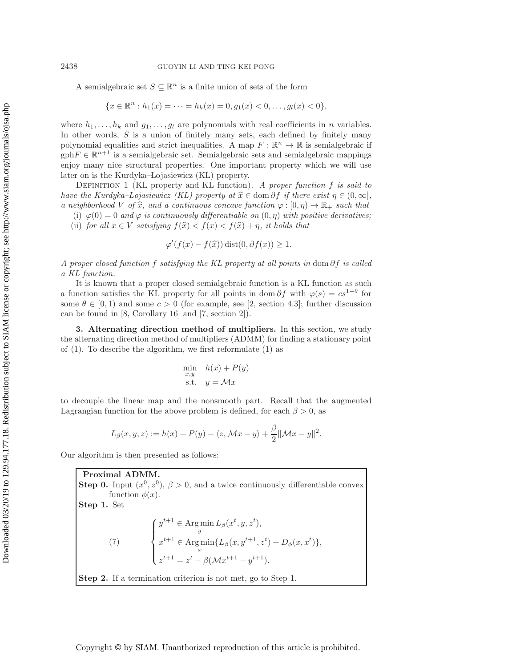A semialgebraic set  $S \subseteq \mathbb{R}^n$  is a finite union of sets of the form

$$
\{x \in \mathbb{R}^n : h_1(x) = \cdots = h_k(x) = 0, g_1(x) < 0, \ldots, g_l(x) < 0\},\
$$

where  $h_1, \ldots, h_k$  and  $g_1, \ldots, g_l$  are polynomials with real coefficients in n variables. In other words, S is a union of finitely many sets, each defined by finitely many polynomial equalities and strict inequalities. A map  $F : \mathbb{R}^n \to \mathbb{R}$  is semialgebraic if  $gphF \in \mathbb{R}^{n+1}$  is a semialgebraic set. Semialgebraic sets and semialgebraic mappings enjoy many nice structural properties. One important property which we will use later on is the Kurdyka–Lojasiewicz (KL) property.

<span id="page-4-2"></span>Definition 1 (KL property and KL function). *A proper function* f *is said to have the Kurdyka–Lojasiewicz (KL) property at*  $\hat{x} \in \text{dom }\partial f$  *if there exist*  $\eta \in (0, \infty]$ *, a neighborhood* V of  $\hat{x}$ , and a continuous concave function  $\varphi : [0, \eta) \to \mathbb{R}_+$  *such that* 

(i)  $\varphi(0) = 0$  *and*  $\varphi$  *is continuously differentiable on*  $(0, \eta)$  *with positive derivatives;* (ii) *for all*  $x \in V$  *satisfying*  $f(\hat{x}) < f(x) < f(\hat{x}) + \eta$ , *it holds that* 

$$
\varphi'(f(x) - f(\hat{x})) \operatorname{dist}(0, \partial f(x)) \ge 1.
$$

*A proper closed function* f *satisfying the KL property at all points in* dom ∂f *is called a KL function.*

It is known that a proper closed semialgebraic function is a KL function as such a function satisfies the KL property for all points in dom  $\partial f$  with  $\varphi(s) = cs^{1-\theta}$  for some  $\theta \in [0, 1)$  and some  $c > 0$  (for example, see [\[2,](#page-25-11) section 4.3]; further discussion can be found in [\[8,](#page-25-12) Corollary 16] and [\[7,](#page-25-13) section 2]).

<span id="page-4-0"></span>**3. Alternating direction method of multipliers.** In this section, we study the alternating direction method of multipliers (ADMM) for finding a stationary point of [\(1\)](#page-0-0). To describe the algorithm, we first reformulate [\(1\)](#page-0-0) as

$$
\min_{x,y} h(x) + P(y)
$$
  
s.t.  $y = \mathcal{M}x$ 

to decouple the linear map and the nonsmooth part. Recall that the augmented Lagrangian function for the above problem is defined, for each  $\beta > 0$ , as

$$
L_{\beta}(x, y, z) := h(x) + P(y) - \langle z, \mathcal{M}x - y \rangle + \frac{\beta}{2} ||\mathcal{M}x - y||^{2}.
$$

Our algorithm is then presented as follows:

<span id="page-4-1"></span>**Proximal ADMM. Step 0.** Input  $(x^0, z^0)$ ,  $\beta > 0$ , and a twice continuously differentiable convex function  $\phi(x)$ . **Step 1.** Set (7)  $\sqrt{ }$  $\sqrt{2}$  $\sqrt{ }$  $y^{t+1} \in \operatorname{Arg\,min}_{y} L_{\beta}(x^t, y, z^t),$  $x^{t+1} \in \text{Arg}\min_{x} \{ L_{\beta}(x, y^{t+1}, z^t) + D_{\phi}(x, x^t) \},$  $z^{t+1} = z^t - \beta(\mathcal{M}x^{t+1} - y^{t+1}).$ **Step 2.** If a termination criterion is not met, go to Step 1.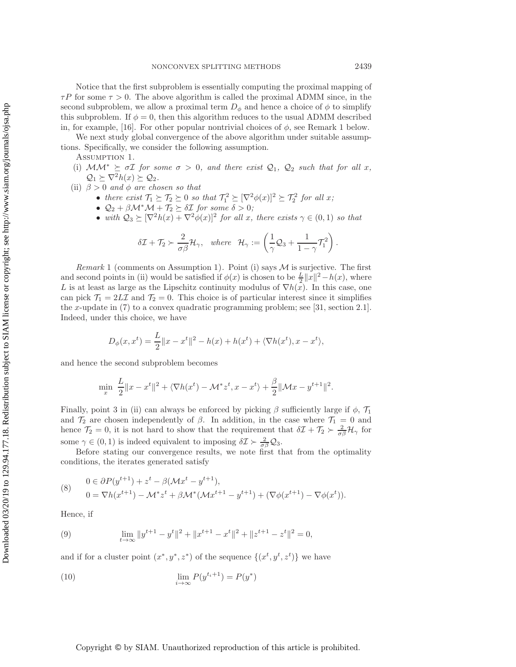Notice that the first subproblem is essentially computing the proximal mapping of  $\tau P$  for some  $\tau > 0$ . The above algorithm is called the proximal ADMM since, in the second subproblem, we allow a proximal term  $D_{\phi}$  and hence a choice of  $\phi$  to simplify this subproblem. If  $\phi = 0$ , then this algorithm reduces to the usual ADMM described in, for example, [\[16\]](#page-25-6). For other popular nontrivial choices of  $\phi$ , see Remark [1](#page-5-0) below.

We next study global convergence of the above algorithm under suitable assumptions. Specifically, we consider the following assumption.

Assumption 1.

- (i)  $MM^* \succeq \sigma \mathcal{I}$  *for some*  $\sigma > 0$ *, and there exist*  $\mathcal{Q}_1$ *,*  $\mathcal{Q}_2$  *such that for all x,*  $\mathcal{Q}_1 \succeq \nabla^2 h(x) \succeq \mathcal{Q}_2.$
- (ii)  $\beta > 0$  *and*  $\phi$  *are chosen so that* 
	- there exist  $\mathcal{T}_1 \succeq \mathcal{T}_2 \succeq 0$  so that  $\mathcal{T}_1^2 \succeq [\nabla^2 \phi(x)]^2 \succeq \mathcal{T}_2^2$  for all x;<br>
	  $Q_1 + \beta M^* M + \mathcal{T}_2 \succ \delta \mathcal{T}$  for some  $\delta > 0$ ;
	- $\mathcal{Q}_2 + \beta \mathcal{M}^* \mathcal{M} + \mathcal{T}_2 \succeq \delta \mathcal{I}$  for some  $\delta > 0$ ;
	- with  $Q_3 \succeq [\nabla^2 h(x) + \nabla^2 \phi(x)]^2$  *for all x, there exists*  $\gamma \in (0,1)$  *so that*

<span id="page-5-4"></span>
$$
\delta \mathcal{I} + \mathcal{T}_2 \succ \frac{2}{\sigma \beta} \mathcal{H}_{\gamma}, \quad \text{where} \quad \mathcal{H}_{\gamma} := \left( \frac{1}{\gamma} \mathcal{Q}_3 + \frac{1}{1 - \gamma} \mathcal{T}_1^2 \right).
$$

<span id="page-5-0"></span>*Remark* 1 (comments on Assumption 1). Point (i) says  $M$  is surjective. The first and second points in (ii) would be satisfied if  $\phi(x)$  is chosen to be  $\frac{L}{2}||x||^2 - h(x)$ , where  $L$  is at least as large as the Linschitz continuity modulus of  $\nabla h(x)$ . In this case, one L is at least as large as the Lipschitz continuity modulus of  $\nabla h(x)$ . In this case, one can pick  $\mathcal{T}_1 = 2L\mathcal{I}$  and  $\mathcal{T}_2 = 0$ . This choice is of particular interest since it simplifies the x-update in  $(7)$  to a convex quadratic programming problem; see [\[31,](#page-26-13) section 2.1]. Indeed, under this choice, we have

$$
D_{\phi}(x, x^{t}) = \frac{L}{2} ||x - x^{t}||^{2} - h(x) + h(x^{t}) + \langle \nabla h(x^{t}), x - x^{t} \rangle,
$$

and hence the second subproblem becomes

<span id="page-5-1"></span>
$$
\min_{x} \frac{L}{2} \|x - x^t\|^2 + \langle \nabla h(x^t) - \mathcal{M}^* z^t, x - x^t \rangle + \frac{\beta}{2} \|\mathcal{M} x - y^{t+1}\|^2.
$$

Finally, point 3 in (ii) can always be enforced by picking  $\beta$  sufficiently large if  $\phi$ ,  $\mathcal{T}_1$ and  $\mathcal{T}_2$  are chosen independently of  $\beta$ . In addition, in the case where  $\mathcal{T}_1 = 0$  and hence  $\mathcal{T}_2 = 0$ , it is not hard to show that the requirement that  $\delta \mathcal{I} + \mathcal{T}_2 \succ \frac{2}{\sigma \beta} \mathcal{H}_{\gamma}$  for some  $\gamma \in (0, 1)$  is indeed equivalent to imposing  $\delta \mathcal{I} \succ \frac{2}{\sigma \beta} \mathcal{Q}_3$ .

Before stating our convergence results, we note first that from the optimality conditions, the iterates generated satisfy

(8) 
$$
0 \in \partial P(y^{t+1}) + z^t - \beta(\mathcal{M}x^t - y^{t+1}),
$$
  
\n
$$
0 = \nabla h(x^{t+1}) - \mathcal{M}^*z^t + \beta \mathcal{M}^*(\mathcal{M}x^{t+1} - y^{t+1}) + (\nabla \phi(x^{t+1}) - \nabla \phi(x^t)).
$$

<span id="page-5-2"></span>Hence, if

(9) 
$$
\lim_{t \to \infty} \|y^{t+1} - y^t\|^2 + \|x^{t+1} - x^t\|^2 + \|z^{t+1} - z^t\|^2 = 0,
$$

<span id="page-5-3"></span>and if for a cluster point  $(x^*, y^*, z^*)$  of the sequence  $\{(x^t, y^t, z^t)\}\$ we have

(10) 
$$
\lim_{i \to \infty} P(y^{t_i+1}) = P(y^*)
$$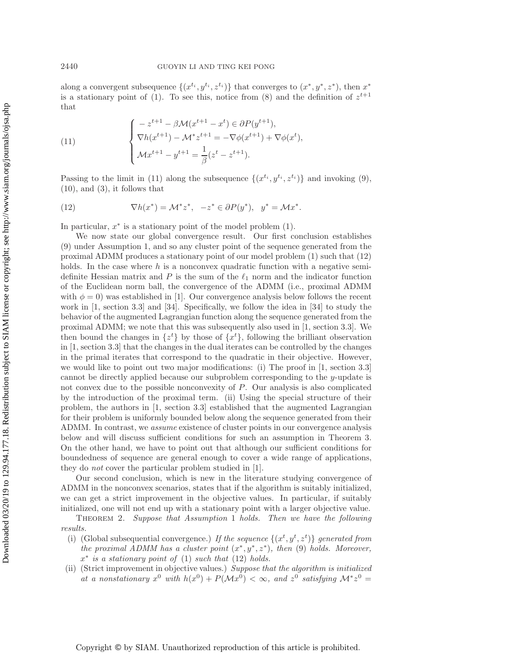along a convergent subsequence  $\{(x^{t_i}, y^{t_i}, z^{t_i})\}$  that converges to  $(x^*, y^*, z^*)$ , then  $x^*$ is a stationary point of [\(1\)](#page-0-0). To see this, notice from [\(8\)](#page-5-1) and the definition of  $z^{t+1}$ that

<span id="page-6-0"></span>(11) 
$$
\begin{cases}\n-z^{t+1} - \beta \mathcal{M}(x^{t+1} - x^t) \in \partial P(y^{t+1}), \\
\nabla h(x^{t+1}) - \mathcal{M}^* z^{t+1} = -\nabla \phi(x^{t+1}) + \nabla \phi(x^t), \\
\mathcal{M}x^{t+1} - y^{t+1} = \frac{1}{\beta}(z^t - z^{t+1}).\n\end{cases}
$$

<span id="page-6-1"></span>Passing to the limit in [\(11\)](#page-6-0) along the subsequence  $\{(x^{t_i}, y^{t_i}, z^{t_i})\}$  and invoking [\(9\)](#page-5-2),  $(10)$ , and  $(3)$ , it follows that

(12) 
$$
\nabla h(x^*) = \mathcal{M}^* z^*, \quad -z^* \in \partial P(y^*), \quad y^* = \mathcal{M} x^*.
$$

In particular,  $x^*$  is a stationary point of the model problem  $(1)$ .

We now state our global convergence result. Our first conclusion establishes [\(9\)](#page-5-2) under Assumption [1,](#page-5-4) and so any cluster point of the sequence generated from the proximal ADMM produces a stationary point of our model problem [\(1\)](#page-0-0) such that [\(12\)](#page-6-1) holds. In the case where h is a nonconvex quadratic function with a negative semidefinite Hessian matrix and P is the sum of the  $\ell_1$  norm and the indicator function of the Euclidean norm ball, the convergence of the ADMM (i.e., proximal ADMM with  $\phi = 0$ ) was established in [\[1\]](#page-25-10). Our convergence analysis below follows the recent work in [\[1,](#page-25-10) section 3.3] and [\[34\]](#page-26-11). Specifically, we follow the idea in [\[34\]](#page-26-11) to study the behavior of the augmented Lagrangian function along the sequence generated from the proximal ADMM; we note that this was subsequently also used in [\[1,](#page-25-10) section 3.3]. We then bound the changes in  $\{z^t\}$  by those of  $\{x^t\}$ , following the brilliant observation in [\[1,](#page-25-10) section 3.3] that the changes in the dual iterates can be controlled by the changes in the primal iterates that correspond to the quadratic in their objective. However, we would like to point out two major modifications: (i) The proof in [\[1,](#page-25-10) section 3.3] cannot be directly applied because our subproblem corresponding to the y-update is not convex due to the possible nonconvexity of P. Our analysis is also complicated by the introduction of the proximal term. (ii) Using the special structure of their problem, the authors in [\[1,](#page-25-10) section 3.3] established that the augmented Lagrangian for their problem is uniformly bounded below along the sequence generated from their ADMM. In contrast, we *assume* existence of cluster points in our convergence analysis below and will discuss sufficient conditions for such an assumption in Theorem [3.](#page-11-0) On the other hand, we have to point out that although our sufficient conditions for boundedness of sequence are general enough to cover a wide range of applications, they do *not* cover the particular problem studied in [\[1\]](#page-25-10).

Our second conclusion, which is new in the literature studying convergence of ADMM in the nonconvex scenarios, states that if the algorithm is suitably initialized, we can get a strict improvement in the objective values. In particular, if suitably initialized, one will not end up with a stationary point with a larger objective value.

<span id="page-6-2"></span>Theorem 2. *Suppose that Assumption* [1](#page-5-4) *holds. Then we have the following results.*

- (i) (Global subsequential convergence.) If the sequence  $\{(x^t, y^t, z^t)\}$  generated from *the proximal ADMM has a cluster point* (x∗, y∗, z∗)*, then* [\(9\)](#page-5-2) *holds. Moreover,* x<sup>∗</sup> *is a stationary point of* [\(1\)](#page-0-0) *such that* [\(12\)](#page-6-1) *holds.*
- (ii) (Strict improvement in objective values.) *Suppose that the algorithm is initialized at a nonstationary*  $x^0$  *with*  $h(x^0) + P(\mathcal{M}x^0) < \infty$ *, and*  $z^0$  *satisfying*  $\mathcal{M}^*z^0 =$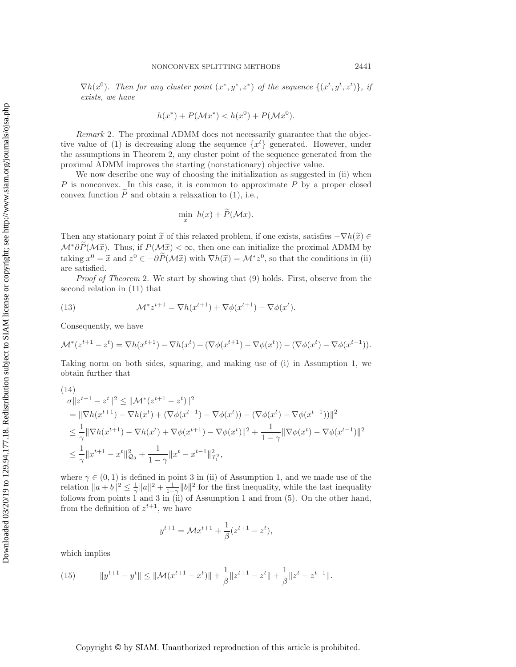$\nabla h(x^0)$ . Then for any cluster point  $(x^*, y^*, z^*)$  of the sequence  $\{(x^t, y^t, z^t)\},\; ij$ *exists, we have*

$$
h(x^*) + P(\mathcal{M}x^*) < h(x^0) + P(\mathcal{M}x^0).
$$

<span id="page-7-3"></span>*Remark* 2. The proximal ADMM does not necessarily guarantee that the objec-tive value of [\(1\)](#page-0-0) is decreasing along the sequence  $\{x^t\}$  generated. However, under the assumptions in Theorem [2,](#page-6-2) any cluster point of the sequence generated from the proximal ADMM improves the starting (nonstationary) objective value.

We now describe one way of choosing the initialization as suggested in (ii) when  $P$  is nonconvex. In this case, it is common to approximate  $P$  by a proper closed convex function  $\ddot{P}$  and obtain a relaxation to [\(1\)](#page-0-0), i.e.,

<span id="page-7-2"></span>
$$
\min_x h(x) + P(\mathcal{M}x).
$$

Then any stationary point  $\tilde{x}$  of this relaxed problem, if one exists, satisfies  $-\nabla h(\tilde{x}) \in$  $\mathcal{M}^*\partial P(\mathcal{M}\tilde{x})$ . Thus, if  $P(\mathcal{M}\tilde{x}) < \infty$ , then one can initialize the proximal ADMM by taking  $x^0 = \tilde{x}$  and  $z^0 \in -\partial \tilde{P}(\mathcal{M}\tilde{x})$  with  $\nabla h(\tilde{x}) = \mathcal{M}^* z^0$ , so that the conditions in (ii) are satisfied.

*Proof of Theorem* [2.](#page-6-2) We start by showing that [\(9\)](#page-5-2) holds. First, observe from the second relation in [\(11\)](#page-6-0) that

(13) 
$$
\mathcal{M}^* z^{t+1} = \nabla h(x^{t+1}) + \nabla \phi(x^{t+1}) - \nabla \phi(x^t).
$$

Consequently, we have

$$
\mathcal{M}^*(z^{t+1} - z^t) = \nabla h(x^{t+1}) - \nabla h(x^t) + (\nabla \phi(x^{t+1}) - \nabla \phi(x^t)) - (\nabla \phi(x^t) - \nabla \phi(x^{t-1})).
$$

<span id="page-7-0"></span>Taking norm on both sides, squaring, and making use of (i) in Assumption [1,](#page-5-4) we obtain further that

(14)  
\n
$$
\sigma \|z^{t+1} - z^t\|^2 \leq \|\mathcal{M}^*(z^{t+1} - z^t)\|^2
$$
\n
$$
= \|\nabla h(x^{t+1}) - \nabla h(x^t) + (\nabla \phi(x^{t+1}) - \nabla \phi(x^t)) - (\nabla \phi(x^t) - \nabla \phi(x^{t-1}))\|^2
$$
\n
$$
\leq \frac{1}{\gamma} \|\nabla h(x^{t+1}) - \nabla h(x^t) + \nabla \phi(x^{t+1}) - \nabla \phi(x^t)\|^2 + \frac{1}{1 - \gamma} \|\nabla \phi(x^t) - \nabla \phi(x^{t-1})\|^2
$$
\n
$$
\leq \frac{1}{\gamma} \|x^{t+1} - x^t\|_{\mathcal{Q}_3}^2 + \frac{1}{1 - \gamma} \|x^t - x^{t-1}\|_{\mathcal{T}_1^2}^2,
$$

where  $\gamma \in (0,1)$  is defined in point 3 in (ii) of Assumption [1,](#page-5-4) and we made use of the relation  $||a + b||^2 \le \frac{1}{\gamma} ||a||^2 + \frac{1}{1-\gamma} ||b||^2$  for the first inequality, while the last inequality<br>follows from points 1 and 2 in (ii) of Assumption 1 and from (5). On the other hand follows from points 1 and 3 in (ii) of Assumption [1](#page-5-4) and from [\(5\)](#page-3-2). On the other hand, from the definition of  $z^{t+1}$ , we have

$$
y^{t+1} = \mathcal{M}x^{t+1} + \frac{1}{\beta}(z^{t+1} - z^t),
$$

<span id="page-7-1"></span>which implies

(15) 
$$
\|y^{t+1} - y^t\| \le \|\mathcal{M}(x^{t+1} - x^t)\| + \frac{1}{\beta}\|z^{t+1} - z^t\| + \frac{1}{\beta}\|z^t - z^{t-1}\|.
$$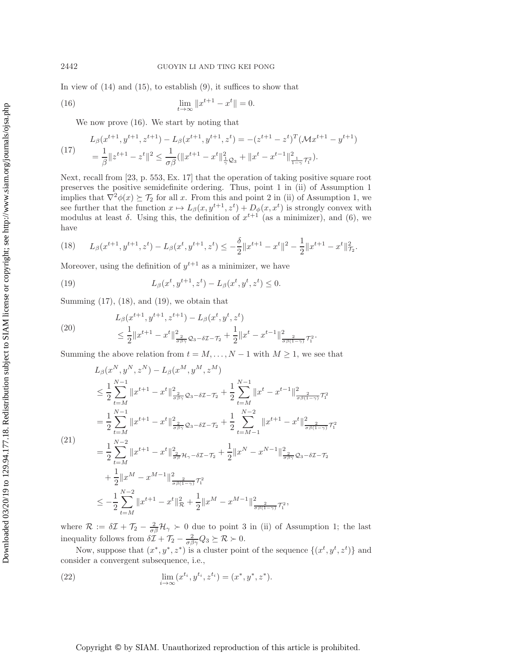In view of  $(14)$  and  $(15)$ , to establish  $(9)$ , it suffices to show that

(16) 
$$
\lim_{t \to \infty} ||x^{t+1} - x^t|| = 0.
$$

<span id="page-8-1"></span><span id="page-8-0"></span>We now prove [\(16\)](#page-8-0). We start by noting that

$$
L_{\beta}(x^{t+1}, y^{t+1}, z^{t+1}) - L_{\beta}(x^{t+1}, y^{t+1}, z^t) = -(z^{t+1} - z^t)^T (\mathcal{M} x^{t+1} - y^{t+1})
$$
  
=  $\frac{1}{\beta} \|z^{t+1} - z^t\|^2 \le \frac{1}{\sigma \beta} (\|x^{t+1} - x^t\|^2_{\frac{1}{\gamma} \mathcal{Q}_3} + \|x^t - x^{t-1}\|^2_{\frac{1}{1-\gamma} \mathcal{T}_1^2}).$ 

Next, recall from [\[23,](#page-26-14) p. 553, Ex. 17] that the operation of taking positive square root preserves the positive semidefinite ordering. Thus, point 1 in (ii) of Assumption [1](#page-5-4) implies that  $\nabla^2 \phi(x) \succeq \mathcal{T}_2$  for all x. From this and point 2 in (ii) of Assumption [1,](#page-5-4) we see further that the function  $x \mapsto L_{\beta}(x, y^{t+1}, z^t) + D_{\phi}(x, x^t)$  is strongly convex with modulus at least  $\delta$ . Using this, the definition of  $x^{t+1}$  (as a minimizer), and [\(6\)](#page-3-3), we have

<span id="page-8-2"></span>
$$
(18) \qquad L_{\beta}(x^{t+1}, y^{t+1}, z^t) - L_{\beta}(x^t, y^{t+1}, z^t) \leq -\frac{\delta}{2} \|x^{t+1} - x^t\|^2 - \frac{1}{2} \|x^{t+1} - x^t\|^2_{\mathcal{I}^2}.
$$

Moreover, using the definition of  $y^{t+1}$  as a minimizer, we have

<span id="page-8-3"></span>(19) 
$$
L_{\beta}(x^{t}, y^{t+1}, z^{t}) - L_{\beta}(x^{t}, y^{t}, z^{t}) \leq 0.
$$

Summing  $(17)$ ,  $(18)$ , and  $(19)$ , we obtain that

<span id="page-8-6"></span>(20) 
$$
L_{\beta}(x^{t+1}, y^{t+1}, z^{t+1}) - L_{\beta}(x^t, y^t, z^t) \le \frac{1}{2} \|x^{t+1} - x^t\|_{\frac{2}{\sigma\beta\gamma}}^2 \varrho_{3-\delta\mathcal{I}-\mathcal{T}_2} + \frac{1}{2} \|x^t - x^{t-1}\|_{\frac{2}{\sigma\beta(1-\gamma)}}^2 \tau_1^2.
$$

<span id="page-8-4"></span>Summing the above relation from  $t = M, \ldots, N-1$  with  $M \geq 1$ , we see that

$$
L_{\beta}(x^{N}, y^{N}, z^{N}) - L_{\beta}(x^{M}, y^{M}, z^{M})
$$
\n
$$
\leq \frac{1}{2} \sum_{t=M}^{N-1} ||x^{t+1} - x^{t}||_{\frac{2}{\sigma\beta\gamma}}^{2} \mathcal{Q}_{3-\delta\mathcal{I}-\mathcal{T}_{2}} + \frac{1}{2} \sum_{t=M}^{N-1} ||x^{t} - x^{t-1}||_{\frac{2}{\sigma\beta(1-\gamma)}\mathcal{T}_{1}^{2}}
$$
\n
$$
= \frac{1}{2} \sum_{t=M}^{N-1} ||x^{t+1} - x^{t}||_{\frac{2}{\sigma\beta\gamma}}^{2} \mathcal{Q}_{3-\delta\mathcal{I}-\mathcal{T}_{2}} + \frac{1}{2} \sum_{t=M-1}^{N-2} ||x^{t+1} - x^{t}||_{\frac{2}{\sigma\beta(1-\gamma)}\mathcal{T}_{1}^{2}}
$$
\n(21)\n
$$
= \frac{1}{2} \sum_{t=M}^{N-2} ||x^{t+1} - x^{t}||_{\frac{2}{\sigma\beta}}^{2} \mathcal{H}_{\gamma-\delta\mathcal{I}-\mathcal{T}_{2}} + \frac{1}{2} ||x^{N} - x^{N-1}||_{\frac{2}{\sigma\beta\gamma}}^{2} \mathcal{Q}_{3-\delta\mathcal{I}-\mathcal{T}_{2}}
$$
\n
$$
+ \frac{1}{2} ||x^{M} - x^{M-1}||_{\frac{2}{\sigma\beta(1-\gamma)}\mathcal{T}_{1}^{2}}
$$
\n
$$
\leq -\frac{1}{2} \sum_{t=M}^{N-2} ||x^{t+1} - x^{t}||_{\mathcal{R}}^{2} + \frac{1}{2} ||x^{M} - x^{M-1}||_{\frac{2}{\sigma\beta(1-\gamma)}\mathcal{T}_{1}^{2}}^{2},
$$

where  $\mathcal{R} := \delta \mathcal{I} + \mathcal{T}_2 - \frac{2}{\sigma \beta} \mathcal{H}_{\gamma} > 0$  due to point 3 in (ii) of Assumption [1;](#page-5-4) the last inequality follows from  $\delta \mathcal{I} + \mathcal{T}_2 - \frac{2}{\sigma \beta \gamma} Q_3 \succeq \mathcal{R} \succ 0.$ 

Now, suppose that  $(x^*, y^*, z^*)$  is a cluster point of the sequence  $\{(x^t, y^t, z^t)\}$  and consider a convergent subsequence, i.e.,

<span id="page-8-5"></span>(22) 
$$
\lim_{i \to \infty} (x^{t_i}, y^{t_i}, z^{t_i}) = (x^*, y^*, z^*).
$$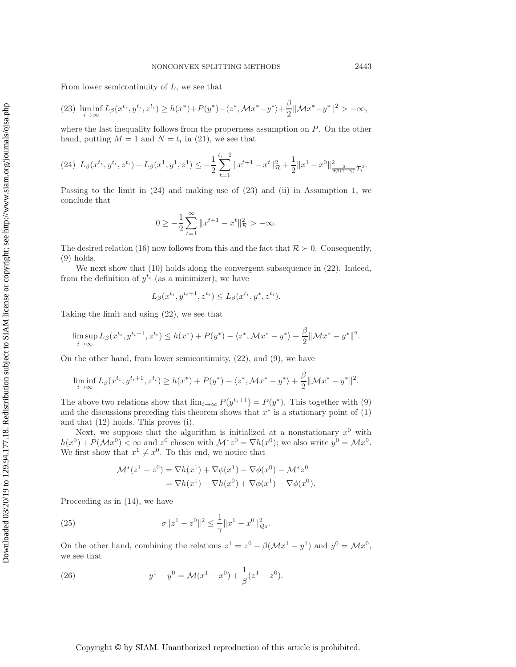From lower semicontinuity of  $L$ , we see that

$$
(23)\ \liminf_{i\to\infty} L_{\beta}(x^{t_i}, y^{t_i}, z^{t_i}) \ge h(x^*) + P(y^*) - \langle z^*, \mathcal{M}x^* - y^* \rangle + \frac{\beta}{2} ||\mathcal{M}x^* - y^*||^2 > -\infty,
$$

where the last inequality follows from the properness assumption on  $P$ . On the other hand, putting  $M = 1$  and  $N = t_i$  in [\(21\)](#page-8-4), we see that

$$
(24) \ L_{\beta}(x^{t_i}, y^{t_i}, z^{t_i}) - L_{\beta}(x^1, y^1, z^1) \leq -\frac{1}{2} \sum_{t=1}^{t_i-2} \|x^{t+1} - x^t\|_{\mathcal{R}}^2 + \frac{1}{2} \|x^1 - x^0\|_{\frac{2}{\sigma\beta(1-\gamma)}}^2 \tau_i^2.
$$

Passing to the limit in [\(24\)](#page-9-0) and making use of [\(23\)](#page-9-1) and (ii) in Assumption [1,](#page-5-4) we conclude that

<span id="page-9-1"></span><span id="page-9-0"></span>
$$
0 \ge -\frac{1}{2} \sum_{t=1}^{\infty} \|x^{t+1} - x^t\|_{\mathcal{R}}^2 > -\infty.
$$

The desired relation [\(16\)](#page-8-0) now follows from this and the fact that  $\mathcal{R} \succ 0$ . Consequently, [\(9\)](#page-5-2) holds.

We next show that [\(10\)](#page-5-3) holds along the convergent subsequence in [\(22\)](#page-8-5). Indeed, from the definition of  $y^{t_i}$  (as a minimizer), we have

$$
L_{\beta}(x^{t_i}, y^{t_i+1}, z^{t_i}) \le L_{\beta}(x^{t_i}, y^*, z^{t_i}).
$$

Taking the limit and using [\(22\)](#page-8-5), we see that

$$
\limsup_{i \to \infty} L_{\beta}(x^{t_i}, y^{t_i+1}, z^{t_i}) \le h(x^*) + P(y^*) - \langle z^*, \mathcal{M}x^* - y^* \rangle + \frac{\beta}{2} ||\mathcal{M}x^* - y^*||^2.
$$

On the other hand, from lower semicontinuity, [\(22\)](#page-8-5), and [\(9\)](#page-5-2), we have

$$
\liminf_{i \to \infty} L_{\beta}(x^{t_i}, y^{t_i+1}, z^{t_i}) \ge h(x^*) + P(y^*) - \langle z^*, \mathcal{M}x^* - y^* \rangle + \frac{\beta}{2} ||\mathcal{M}x^* - y^*||^2.
$$

The above two relations show that  $\lim_{i\to\infty} P(y^{t_i+1}) = P(y^*)$ . This together with [\(9\)](#page-5-2) and the discussions preceding this theorem shows that  $x^*$  is a stationary point of [\(1\)](#page-0-0) and that [\(12\)](#page-6-1) holds. This proves (i).

Next, we suppose that the algorithm is initialized at a nonstationary  $x^0$  with  $h(x^{0}) + P(\mathcal{M}x^{0}) < \infty$  and  $z^{0}$  chosen with  $\mathcal{M}^{*}z^{0} = \nabla h(x^{0})$ ; we also write  $y^{0} = \mathcal{M}x^{0}$ . We first show that  $x^1 \neq x^0$ . To this end, we notice that

<span id="page-9-2"></span>
$$
\mathcal{M}^*(z^1 - z^0) = \nabla h(x^1) + \nabla \phi(x^1) - \nabla \phi(x^0) - \mathcal{M}^* z^0
$$
  
= 
$$
\nabla h(x^1) - \nabla h(x^0) + \nabla \phi(x^1) - \nabla \phi(x^0).
$$

Proceeding as in [\(14\)](#page-7-0), we have

(25) 
$$
\sigma \|z^1 - z^0\|^2 \leq \frac{1}{\gamma} \|x^1 - x^0\|^2_{\mathcal{Q}_3}.
$$

On the other hand, combining the relations  $z^1 = z^0 - \beta(\mathcal{M}x^1 - y^1)$  and  $y^0 = \mathcal{M}x^0$ , we see that

<span id="page-9-3"></span>(26) 
$$
y^1 - y^0 = \mathcal{M}(x^1 - x^0) + \frac{1}{\beta}(z^1 - z^0).
$$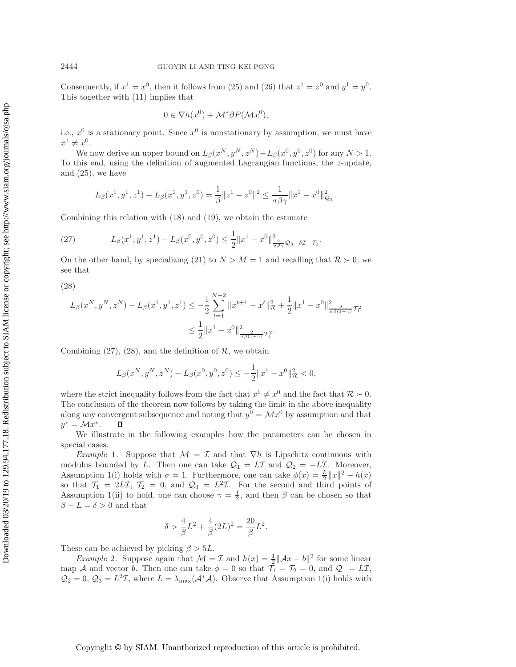Consequently, if  $x^1 = x^0$ , then it follows from [\(25\)](#page-9-2) and [\(26\)](#page-9-3) that  $z^1 = z^0$  and  $y^1 = y^0$ . This together with [\(11\)](#page-6-0) implies that

<span id="page-10-0"></span>
$$
0 \in \nabla h(x^0) + \mathcal{M}^* \partial P(\mathcal{M} x^0),
$$

i.e.,  $x^0$  is a stationary point. Since  $x^0$  is nonstationary by assumption, we must have  $x^1 \neq x^0$ .

We now derive an upper bound on  $L_\beta(x^N, y^N, z^N) - L_\beta(x^0, y^0, z^0)$  for any  $N > 1$ . To this end, using the definition of augmented Lagrangian functions, the  $z$ -update, and [\(25\)](#page-9-2), we have

$$
L_{\beta}(x^1, y^1, z^1) - L_{\beta}(x^1, y^1, z^0) = \frac{1}{\beta} \|z^1 - z^0\|^2 \le \frac{1}{\sigma \beta \gamma} \|x^1 - x^0\|_{\mathcal{Q}_3}^2.
$$

Combining this relation with [\(18\)](#page-8-2) and [\(19\)](#page-8-3), we obtain the estimate

(27) 
$$
L_{\beta}(x^1, y^1, z^1) - L_{\beta}(x^0, y^0, z^0) \leq \frac{1}{2} ||x^1 - x^0||_{\frac{2}{\sigma\beta\gamma}}^2 \mathcal{Q}_3 - \delta\mathcal{I} - \mathcal{T}_2.
$$

<span id="page-10-1"></span>On the other hand, by specializing [\(21\)](#page-8-4) to  $N > M = 1$  and recalling that  $\mathcal{R} > 0$ , we see that

(28)

$$
L_{\beta}(x^N, y^N, z^N) - L_{\beta}(x^1, y^1, z^1) \le -\frac{1}{2} \sum_{t=1}^{N-2} \|x^{t+1} - x^t\|_{\mathcal{R}}^2 + \frac{1}{2} \|x^1 - x^0\|_{\frac{2}{\sigma\beta(1-\gamma)}}^2 \tau_1^2
$$
  

$$
\le \frac{1}{2} \|x^1 - x^0\|_{\frac{2}{\sigma\beta(1-\gamma)}}^2 \tau_1^2.
$$

Combining  $(27)$ ,  $(28)$ , and the definition of  $\mathcal{R}$ , we obtain

$$
L_{\beta}(x^N, y^N, z^N) - L_{\beta}(x^0, y^0, z^0) \le -\frac{1}{2} ||x^1 - x^0||^2_{\mathcal{R}} < 0,
$$

where the strict inequality follows from the fact that  $x^1 \neq x^0$  and the fact that  $\mathcal{R} \succ 0$ . The conclusion of the theorem now follows by taking the limit in the above inequality along any convergent subsequence and noting that  $y^0 = \mathcal{M}x^0$  by assumption and that  $y^* = \mathcal{M}x^*$ .  $\Box$ 

<span id="page-10-2"></span>We illustrate in the following examples how the parameters can be chosen in special cases.

*Example* 1. Suppose that  $\mathcal{M} = \mathcal{I}$  and that  $\nabla h$  is Lipschitz continuous with modulus bounded by L. Then one can take  $\mathcal{Q}_1 = L\mathcal{I}$  and  $\mathcal{Q}_2 = -L\mathcal{I}$ . Moreover, Assumption [1\(](#page-5-4)i) holds with  $\sigma = 1$ . Furthermore, one can take  $\phi(x) = \frac{L}{2} ||x||^2 - h(x)$ <br>so that  $\mathcal{T}_2 = 2LT$   $\mathcal{T}_2 = 0$  and  $\mathcal{Q}_2 = L^2T$ . For the second and third points of so that  $\mathcal{T}_1 = 2L\mathcal{I}, \mathcal{T}_2 = 0$ , and  $\mathcal{Q}_3 = L^2\mathcal{I}$ . For the second and third points of Assumption [1\(](#page-5-4)ii) to hold, one can choose  $\gamma = \frac{1}{2}$ , and then  $\beta$  can be chosen so that  $\beta - L - \delta > 0$  and that  $\beta - L = \delta > 0$  and that

$$
\delta > \frac{4}{\beta}L^2 + \frac{4}{\beta}(2L)^2 = \frac{20}{\beta}L^2.
$$

<span id="page-10-3"></span>These can be achieved by picking  $\beta > 5L$ .

*Example* 2. Suppose again that  $\mathcal{M} = \mathcal{I}$  and  $h(x) = \frac{1}{2} ||\mathcal{A}x - b||^2$  for some linear map A and vector b. Then one can take  $\phi = 0$  so that  $\mathcal{T}_1 = \mathcal{T}_2 = 0$ , and  $\mathcal{Q}_1 = L\mathcal{I}$ ,  $\mathcal{Q}_2 = 0$ ,  $\mathcal{Q}_3 = L^2 \mathcal{I}$ , where  $L = \lambda_{\text{max}}(\mathcal{A}^* \mathcal{A})$ . Observe that Assumption [1\(](#page-5-4)i) holds with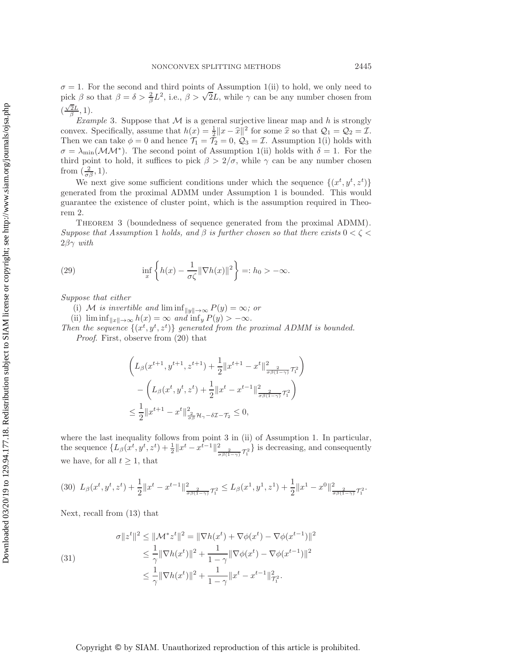$\sigma = 1$ . For the second and third points of Assumption [1\(](#page-5-4)ii) to hold, we only need to  $\sigma = 1$ . For the second and third points of Assumption 1(ii) to hold, we only need to pick β so that  $\beta = \delta > \frac{2}{\beta}L^2$ , i.e.,  $\beta > \sqrt{2}L$ , while  $\gamma$  can be any number chosen from  $(\frac{\sqrt{2}L}{\beta}, 1).$ 

<span id="page-11-4"></span>*Example* 3. Suppose that  $M$  is a general surjective linear map and  $h$  is strongly convex. Specifically, assume that  $h(x) = \frac{1}{2} ||x - \hat{x}||^2$  for some  $\hat{x}$  so that  $\mathcal{Q}_1 = \mathcal{Q}_2 = \mathcal{I}$ .<br>Then we can take  $\phi = 0$  and hence  $\mathcal{T}_2 = \mathcal{T}_2 = 0$ ,  $\mathcal{Q}_2 = \mathcal{T}$ . Assumption 1(i) holds with Then we can take  $\phi = 0$  and hence  $\mathcal{T}_1 = \mathcal{T}_2 = 0$ ,  $\mathcal{Q}_3 = \mathcal{I}$ . Assumption [1\(](#page-5-4)i) holds with  $\sigma = \lambda_{\min}(\mathcal{M}\mathcal{M}^*)$ . The second point of Assumption [1\(](#page-5-4)ii) holds with  $\delta = 1$ . For the third point to hold, it suffices to pick  $\beta > 2/\sigma$ , while  $\gamma$  can be any number chosen from  $(\frac{2}{\sigma\beta}, 1)$ .

We next give some sufficient conditions under which the sequence  $\{(x^t, y^t, z^t)\}$ generated from the proximal ADMM under Assumption [1](#page-5-4) is bounded. This would guarantee the existence of cluster point, which is the assumption required in Theorem [2.](#page-6-2)

<span id="page-11-3"></span><span id="page-11-0"></span>Theorem 3 (boundedness of sequence generated from the proximal ADMM). *Suppose that Assumption* [1](#page-5-4) *holds, and*  $\beta$  *is further chosen so that there exists*  $0 < \zeta$ 2βγ *with*

(29) 
$$
\inf_{x} \left\{ h(x) - \frac{1}{\sigma \zeta} \|\nabla h(x)\|^2 \right\} =: h_0 > -\infty.
$$

*Suppose that either*

- (i) M *is invertible and*  $\liminf_{\|y\| \to \infty} P(y) = \infty$ *; or*
- (ii)  $\liminf_{\|x\| \to \infty} h(x) = \infty$  *and*  $\inf_{y} P(y) > -\infty$ *.*

Then the sequence  $\{(x^t, y^t, z^t)\}$  generated from the proximal ADMM is bounded. *Proof*. First, observe from [\(20\)](#page-8-6) that

$$
\left( L_{\beta}(x^{t+1}, y^{t+1}, z^{t+1}) + \frac{1}{2} ||x^{t+1} - x^t||_{\frac{2}{\sigma\beta(1-\gamma)}}^2 \tau_1^2 \right) - \left( L_{\beta}(x^t, y^t, z^t) + \frac{1}{2} ||x^t - x^{t-1}||_{\frac{2}{\sigma\beta(1-\gamma)}}^2 \tau_1^2 \right) \leq \frac{1}{2} ||x^{t+1} - x^t||_{\frac{2}{\sigma\beta}\mathcal{H}_{\gamma}-\delta\mathcal{I}-\mathcal{T}_2}^2 \leq 0,
$$

where the last inequality follows from point 3 in (ii) of Assumption [1.](#page-5-4) In particular, the sequence  $\{L_{\beta}(x^t, y^t, z^t) + \frac{1}{2} ||x^t - x^{t-1}||_{\frac{2}{\sigma\beta(1-\gamma)}}^2 \tau_1^2$ } is decreasing, and consequently we have, for all  $t \geq 1$ , that

<span id="page-11-1"></span>
$$
(30)\ \ L_{\beta}(x^t, y^t, z^t) + \frac{1}{2} \|x^t - x^{t-1}\|_{\frac{2}{\sigma\beta(1-\gamma)}}^2 \tau_1^2 \le L_{\beta}(x^1, y^1, z^1) + \frac{1}{2} \|x^1 - x^0\|_{\frac{2}{\sigma\beta(1-\gamma)}}^2 \tau_1^2.
$$

<span id="page-11-2"></span>Next, recall from [\(13\)](#page-7-2) that

(31)  

$$
\sigma ||z^t||^2 \le ||\mathcal{M}^* z^t||^2 = ||\nabla h(x^t) + \nabla \phi(x^t) - \nabla \phi(x^{t-1})||^2
$$

$$
\le \frac{1}{\gamma} ||\nabla h(x^t)||^2 + \frac{1}{1-\gamma} ||\nabla \phi(x^t) - \nabla \phi(x^{t-1})||^2
$$

$$
\le \frac{1}{\gamma} ||\nabla h(x^t)||^2 + \frac{1}{1-\gamma} ||x^t - x^{t-1}||^2_{\mathcal{T}_1^2}.
$$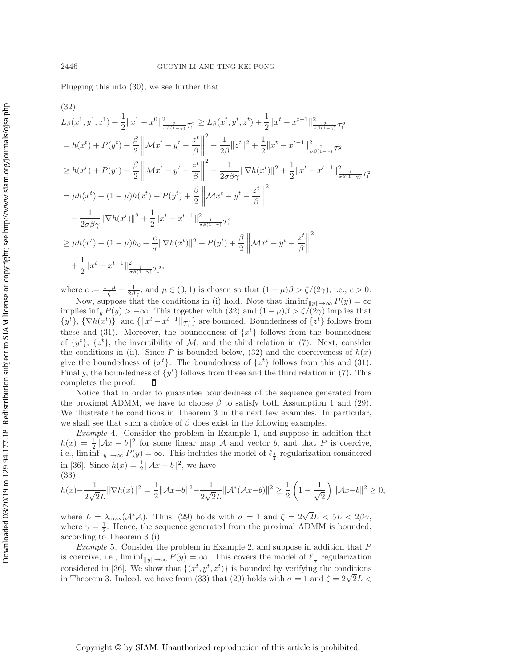<span id="page-12-2"></span>Plugging this into [\(30\)](#page-11-1), we see further that

$$
(32)
$$
\n
$$
L_{\beta}(x^{1}, y^{1}, z^{1}) + \frac{1}{2} ||x^{1} - x^{0}||_{\frac{2}{\sigma\beta(1-\gamma)}T_{1}^{2}}^{2} \geq L_{\beta}(x^{t}, y^{t}, z^{t}) + \frac{1}{2} ||x^{t} - x^{t-1}||_{\frac{2}{\sigma\beta(1-\gamma)}T_{1}^{2}}^{2}
$$
\n
$$
= h(x^{t}) + P(y^{t}) + \frac{\beta}{2} ||\mathcal{M}x^{t} - y^{t} - \frac{z^{t}}{\beta}||^{2} - \frac{1}{2\beta} ||z^{t}||^{2} + \frac{1}{2} ||x^{t} - x^{t-1}||_{\frac{2}{\sigma\beta(1-\gamma)}T_{1}^{2}}^{2}
$$
\n
$$
\geq h(x^{t}) + P(y^{t}) + \frac{\beta}{2} ||\mathcal{M}x^{t} - y^{t} - \frac{z^{t}}{\beta}||^{2} - \frac{1}{2\sigma\beta\gamma} ||\nabla h(x^{t})||^{2} + \frac{1}{2} ||x^{t} - x^{t-1}||_{\frac{2}{\sigma\beta(1-\gamma)}T_{1}^{2}}^{2}
$$
\n
$$
= \mu h(x^{t}) + (1 - \mu)h(x^{t}) + P(y^{t}) + \frac{\beta}{2} ||\mathcal{M}x^{t} - y^{t} - \frac{z^{t}}{\beta}||^{2}
$$
\n
$$
- \frac{1}{2\sigma\beta\gamma} ||\nabla h(x^{t})||^{2} + \frac{1}{2} ||x^{t} - x^{t-1}||_{\frac{2}{\sigma\beta(1-\gamma)}T_{1}^{2}}^{2}
$$
\n
$$
\geq \mu h(x^{t}) + (1 - \mu)h_{0} + \frac{c}{\sigma} ||\nabla h(x^{t})||^{2} + P(y^{t}) + \frac{\beta}{2} ||\mathcal{M}x^{t} - y^{t} - \frac{z^{t}}{\beta}||^{2}
$$
\n
$$
+ \frac{1}{2} ||x^{t} - x^{t-1}||_{\frac{2}{\sigma\beta(1-\gamma)}T_{1}^{2}}^{2},
$$

where  $c := \frac{1-\mu}{\zeta} - \frac{1}{2\beta\gamma}$ , and  $\mu \in (0,1)$  is chosen so that  $(1-\mu)\beta > \zeta/(2\gamma)$ , i.e.,  $c > 0$ .<br>Now gunners that the conditions in (i) hold. Note that  $\liminf_{\zeta \to \zeta} B(\omega) = \infty$ 

Now, suppose that the conditions in (i) hold. Note that  $\liminf_{\|y\| \to \infty} P(y) = \infty$ implies inf<sub>y</sub>  $P(y) > -\infty$ . This together with [\(32\)](#page-12-2) and  $(1 - \mu)\beta > \zeta/(2\gamma)$  implies that  $\{y^t\}$ ,  $\{\nabla h(x^t)\}$ , and  $\{\|x^t - x^{t-1}\|_{\mathcal{T}_1^2}\}$  are bounded. Boundedness of  $\{z^t\}$  follows from these and [\(31\)](#page-11-2). Moreover, the boundedness of  $\{x^{t}\}\$  follows from the boundedness of  $\{y^t\}$ ,  $\{z^t\}$ , the invertibility of M, and the third relation in [\(7\)](#page-4-1). Next, consider the conditions in (ii). Since P is bounded below, [\(32\)](#page-12-2) and the coerciveness of  $h(x)$ give the boundedness of  $\{x^t\}$ . The boundedness of  $\{z^t\}$  follows from this and [\(31\)](#page-11-2). Finally, the boundedness of  $\{y^t\}$  follows from these and the third relation in [\(7\)](#page-4-1). This completes the proof. П

Notice that in order to guarantee boundedness of the sequence generated from the proximal ADMM, we have to choose  $\beta$  to satisfy both Assumption [1](#page-5-4) and [\(29\)](#page-11-3). We illustrate the conditions in Theorem [3](#page-11-0) in the next few examples. In particular, we shall see that such a choice of  $\beta$  does exist in the following examples.

<span id="page-12-0"></span>*Example* 4. Consider the problem in Example [1,](#page-10-2) and suppose in addition that  $h(x) = \frac{1}{2} ||Ax - b||^2$  for some linear map A and vector b, and that P is coercive,<br>i.e.  $\liminf_{x \to a} P(y) = \infty$ . This includes the model of  $\ell_1$  regularization considered i.e.,  $\liminf_{\|y\| \to \infty} P(y) = \infty$ . This includes the model of  $\ell_{\frac{1}{2}}$  regularization considered in [\[36\]](#page-26-1). Since  $h(x) = \frac{1}{2} ||Ax - b||^2$ , we have (33) (33)

<span id="page-12-3"></span>
$$
h(x) - \frac{1}{2\sqrt{2}L} \|\nabla h(x)\|^2 = \frac{1}{2} \|\mathcal{A}x - b\|^2 - \frac{1}{2\sqrt{2}L} \|\mathcal{A}^*(\mathcal{A}x - b)\|^2 \ge \frac{1}{2} \left(1 - \frac{1}{\sqrt{2}}\right) \|\mathcal{A}x - b\|^2 \ge 0,
$$

where  $L = \lambda_{\text{max}}(\mathcal{A}^*\mathcal{A})$ . Thus, [\(29\)](#page-11-3) holds with  $\sigma = 1$  and  $\zeta = 2\sqrt{2}L < 5L < 2\beta\gamma$ , where  $\gamma = \frac{1}{2}$ . Hence, the sequence generated from the proximal ADMM is bounded, according to Theorem 3 (i) according to Theorem [3](#page-11-0) (i).

<span id="page-12-1"></span>*Example* 5. Consider the problem in Example [2,](#page-10-3) and suppose in addition that P is coercive, i.e.,  $\liminf_{\|y\| \to \infty} P(y) = \infty$ . This covers the model of  $\ell_{\frac{1}{2}}$  regularization considered in [\[36\]](#page-26-1). We show that  $\{(x^t, y^t, z^t)\}\$ is bounded by verifying the conditions considered in [50]. We show that  $\{(x', y', z')\}$  is bounded by vertifying the conditions in Theorem [3.](#page-11-0) Indeed, we have from [\(33\)](#page-12-3) that [\(29\)](#page-11-3) holds with  $\sigma = 1$  and  $\zeta = 2\sqrt{2}L$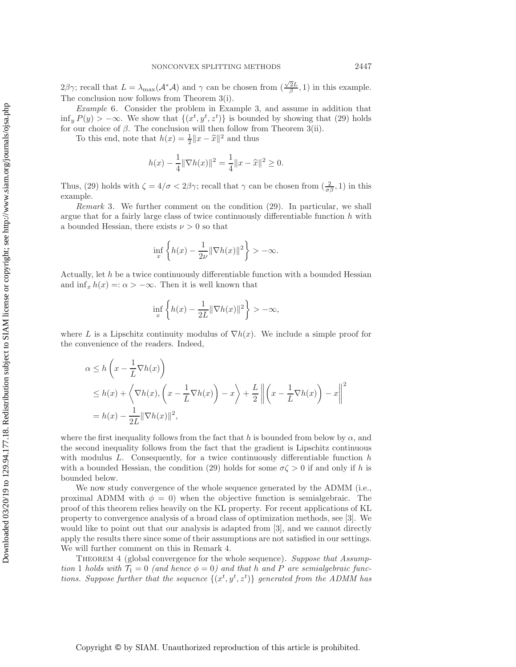$2\beta\gamma$ ; recall that  $L = \lambda_{\max}(\mathcal{A}^*\mathcal{A})$  and  $\gamma$  can be chosen from  $(\frac{\sqrt{2}L}{\beta}, 1)$  in this example. The conclusion now follows from Theorem [3\(](#page-11-0)i).

<span id="page-13-0"></span>*Example* 6. Consider the problem in Example [3,](#page-11-4) and assume in addition that  $\inf_y P(y) > -\infty$ . We show that  $\{(x^t, y^t, z^t)\}\$ is bounded by showing that [\(29\)](#page-11-3) holds for our choice of  $\beta$ . The conclusion will then follow from Theorem [3\(](#page-11-0)ii).

To this end, note that  $h(x) = \frac{1}{2} ||x - \hat{x}||^2$  and thus

$$
h(x) - \frac{1}{4} \|\nabla h(x)\|^2 = \frac{1}{4} \|x - \widehat{x}\|^2 \ge 0.
$$

Thus, [\(29\)](#page-11-3) holds with  $\zeta = 4/\sigma < 2\beta\gamma$ ; recall that  $\gamma$  can be chosen from  $(\frac{2}{\sigma\beta}, 1)$  in this example.

*Remark* 3. We further comment on the condition [\(29\)](#page-11-3). In particular, we shall argue that for a fairly large class of twice continuously differentiable function  $h$  with a bounded Hessian, there exists  $\nu > 0$  so that

$$
\inf_{x} \left\{ h(x) - \frac{1}{2\nu} \|\nabla h(x)\|^2 \right\} > -\infty.
$$

Actually, let  $h$  be a twice continuously differentiable function with a bounded Hessian and  $\inf_x h(x) =: \alpha > -\infty$ . Then it is well known that

$$
\inf_x \left\{h(x) - \frac{1}{2L} \|\nabla h(x)\|^2 \right\} > -\infty,
$$

where L is a Lipschitz continuity modulus of  $\nabla h(x)$ . We include a simple proof for the convenience of the readers. Indeed,

$$
\alpha \le h\left(x - \frac{1}{L}\nabla h(x)\right)
$$
  
\n
$$
\le h(x) + \left\langle \nabla h(x), \left(x - \frac{1}{L}\nabla h(x)\right) - x \right\rangle + \frac{L}{2} \left\| \left(x - \frac{1}{L}\nabla h(x)\right) - x \right\|^2
$$
  
\n
$$
= h(x) - \frac{1}{2L} \|\nabla h(x)\|^2,
$$

where the first inequality follows from the fact that h is bounded from below by  $\alpha$ , and the second inequality follows from the fact that the gradient is Lipschitz continuous with modulus  $L$ . Consequently, for a twice continuously differentiable function  $h$ with a bounded Hessian, the condition [\(29\)](#page-11-3) holds for some  $\sigma \zeta > 0$  if and only if h is bounded below.

We now study convergence of the whole sequence generated by the ADMM (i.e., proximal ADMM with  $\phi = 0$ ) when the objective function is semialgebraic. The proof of this theorem relies heavily on the KL property. For recent applications of KL property to convergence analysis of a broad class of optimization methods, see [\[3\]](#page-25-5). We would like to point out that our analysis is adapted from [\[3\]](#page-25-5), and we cannot directly apply the results there since some of their assumptions are not satisfied in our settings. We will further comment on this in Remark [4.](#page-17-1)

<span id="page-13-1"></span>Theorem 4 (global convergence for the whole sequence). *Suppose that Assumption* [1](#page-5-4) *holds with*  $T_1 = 0$  *(and hence*  $\phi = 0$ *) and that* h *and* P *are semialgebraic functions. Suppose further that the sequence*  $\{(x^t, y^t, z^t)\}$  generated from the ADMM has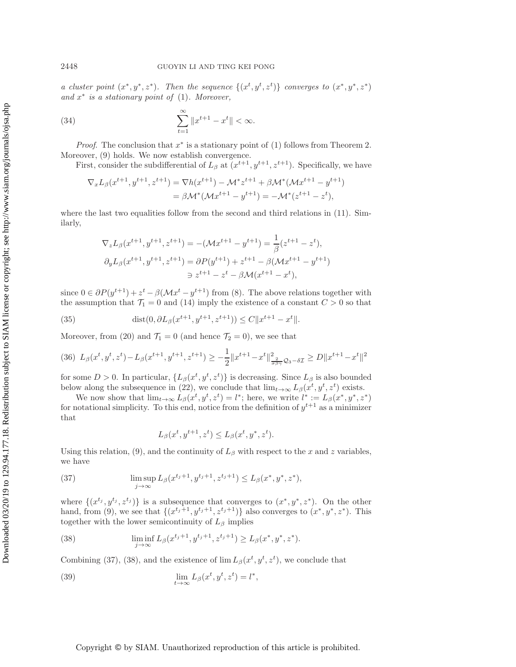*a cluster point*  $(x^*, y^*, z^*)$ *. Then the sequence*  $\{(x^t, y^t, z^t)\}$  *converges to*  $(x^*, y^*, z^*)$ *and* x<sup>∗</sup> *is a stationary point of* [\(1\)](#page-0-0)*. Moreover,*

(34) 
$$
\sum_{t=1}^{\infty} \|x^{t+1} - x^t\| < \infty.
$$

*Proof.* The conclusion that  $x^*$  is a stationary point of [\(1\)](#page-0-0) follows from Theorem [2.](#page-6-2) Moreover, [\(9\)](#page-5-2) holds. We now establish convergence.

First, consider the subdifferential of  $L_\beta$  at  $(x^{t+1}, y^{t+1}, z^{t+1})$ . Specifically, we have

<span id="page-14-5"></span>
$$
\nabla_x L_{\beta}(x^{t+1}, y^{t+1}, z^{t+1}) = \nabla h(x^{t+1}) - \mathcal{M}^* z^{t+1} + \beta \mathcal{M}^* (\mathcal{M} x^{t+1} - y^{t+1})
$$
  
=  $\beta \mathcal{M}^* (\mathcal{M} x^{t+1} - y^{t+1}) = -\mathcal{M}^* (z^{t+1} - z^t),$ 

where the last two equalities follow from the second and third relations in  $(11)$ . Similarly,

$$
\nabla_z L_{\beta}(x^{t+1}, y^{t+1}, z^{t+1}) = -(\mathcal{M}x^{t+1} - y^{t+1}) = \frac{1}{\beta}(z^{t+1} - z^t),
$$
  

$$
\partial_y L_{\beta}(x^{t+1}, y^{t+1}, z^{t+1}) = \partial P(y^{t+1}) + z^{t+1} - \beta(\mathcal{M}x^{t+1} - y^{t+1})
$$
  

$$
\Rightarrow z^{t+1} - z^t - \beta \mathcal{M}(x^{t+1} - x^t),
$$

since  $0 \in \partial P(y^{t+1}) + z^t - \beta(\mathcal{M}x^t - y^{t+1})$  from [\(8\)](#page-5-1). The above relations together with the assumption that  $\mathcal{T}_1 = 0$  and [\(14\)](#page-7-0) imply the existence of a constant  $C > 0$  so that

(35) 
$$
\text{dist}(0, \partial L_{\beta}(x^{t+1}, y^{t+1}, z^{t+1})) \le C \|x^{t+1} - x^t\|.
$$

Moreover, from [\(20\)](#page-8-6) and  $\mathcal{T}_1 = 0$  (and hence  $\mathcal{T}_2 = 0$ ), we see that

$$
(36)\ \ L_{\beta}(x^t, y^t, z^t) - L_{\beta}(x^{t+1}, y^{t+1}, z^{t+1}) \geq -\frac{1}{2} \|x^{t+1} - x^t\|_{\frac{2}{\sigma\beta\gamma}}^2 \mathcal{Q}_3 - \delta x \geq D \|x^{t+1} - x^t\|^2
$$

for some  $D > 0$ . In particular,  $\{L_\beta(x^t, y^t, z^t)\}\$ is decreasing. Since  $L_\beta$  is also bounded below along the subsequence in [\(22\)](#page-8-5), we conclude that  $\lim_{t\to\infty} L_{\beta}(x^t, y^t, z^t)$  exists.

We now show that  $\lim_{t\to\infty} L_{\beta}(x^t, y^t, z^t) = l^*$ ; here, we write  $l^* := L_{\beta}(x^*, y^*, z^*)$ for notational simplicity. To this end, notice from the definition of  $y^{t+1}$  as a minimizer that

<span id="page-14-4"></span><span id="page-14-3"></span><span id="page-14-2"></span><span id="page-14-1"></span>
$$
L_{\beta}(x^t, y^{t+1}, z^t) \le L_{\beta}(x^t, y^*, z^t).
$$

<span id="page-14-0"></span>Using this relation, [\(9\)](#page-5-2), and the continuity of  $L_\beta$  with respect to the x and z variables, we have

(37) 
$$
\limsup_{j \to \infty} L_{\beta}(x^{t_j+1}, y^{t_j+1}, z^{t_j+1}) \leq L_{\beta}(x^*, y^*, z^*),
$$

where  $\{(x^{t_j}, y^{t_j}, z^{t_j})\}$  is a subsequence that converges to  $(x^*, y^*, z^*)$ . On the other hand, from [\(9\)](#page-5-2), we see that  $\{(x^{t_j+1}, y^{t_j+1}, z^{t_j+1})\}$  also converges to  $(x^*, y^*, z^*)$ . This together with the lower semicontinuity of  $L_\beta$  implies

(38) 
$$
\liminf_{j \to \infty} L_{\beta}(x^{t_j+1}, y^{t_j+1}, z^{t_j+1}) \ge L_{\beta}(x^*, y^*, z^*).
$$

Combining [\(37\)](#page-14-0), [\(38\)](#page-14-1), and the existence of  $\lim L_{\beta}(x^t, y^t, z^t)$ , we conclude that

(39) 
$$
\lim_{t \to \infty} L_{\beta}(x^t, y^t, z^t) = l^*,
$$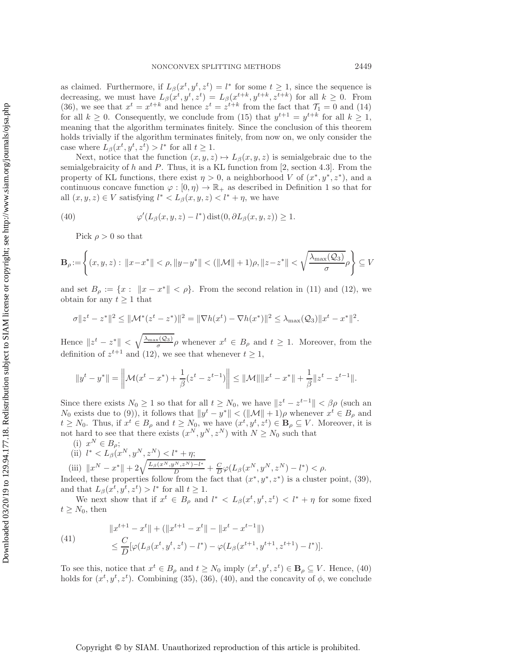as claimed. Furthermore, if  $L_{\beta}(x^t, y^t, z^t) = l^*$  for some  $t \geq 1$ , since the sequence is decreasing, we must have  $L_{\beta}(x^t, y^t, z^t) = L_{\beta}(x^{t+k}, y^{t+k}, z^{t+k})$  for all  $k \geq 0$ . From [\(36\)](#page-14-2), we see that  $x^t = x^{t+k}$  and hence  $z^t = z^{t+k}$  from the fact that  $\mathcal{T}_1 = 0$  and [\(14\)](#page-7-0) for all  $k \geq 0$ . Consequently, we conclude from [\(15\)](#page-7-1) that  $y^{t+1} = y^{t+k}$  for all  $k \geq 1$ , meaning that the algorithm terminates finitely. Since the conclusion of this theorem holds trivially if the algorithm terminates finitely, from now on, we only consider the case where  $L_{\beta}(x^t, y^t, z^t) > l^*$  for all  $t \geq 1$ .

Next, notice that the function  $(x, y, z) \mapsto L_{\beta}(x, y, z)$  is semialgebraic due to the semialgebraicity of  $h$  and  $P$ . Thus, it is a KL function from [\[2,](#page-25-11) section 4.3]. From the property of KL functions, there exist  $\eta > 0$ , a neighborhood V of  $(x^*, y^*, z^*)$ , and a continuous concave function  $\varphi : [0, \eta) \to \mathbb{R}_+$  as described in Definition [1](#page-4-2) so that for all  $(x, y, z) \in V$  satisfying  $l^* < L_\beta(x, y, z) < l^* + \eta$ , we have

(40) 
$$
\varphi'(L_{\beta}(x,y,z)-l^*)\operatorname{dist}(0,\partial L_{\beta}(x,y,z))\geq 1.
$$

<span id="page-15-0"></span>Pick  $\rho > 0$  so that

$$
\mathbf{B}_{\rho} := \left\{ (x, y, z) : ||x - x^*|| < \rho, ||y - y^*|| < (||\mathcal{M}|| + 1)\rho, ||z - z^*|| < \sqrt{\frac{\lambda_{\max}(\mathcal{Q}_3)}{\sigma}} \rho \right\} \subseteq V
$$

and set  $B_\rho := \{x : ||x - x^*|| < \rho\}$ . From the second relation in [\(11\)](#page-6-0) and [\(12\)](#page-6-1), we obtain for any  $t \geq 1$  that

$$
\sigma \|z^{t} - z^{*}\|^{2} \leq \|\mathcal{M}^{*}(z^{t} - z^{*})\|^{2} = \|\nabla h(x^{t}) - \nabla h(x^{*})\|^{2} \leq \lambda_{\max}(\mathcal{Q}_{3})\|x^{t} - x^{*}\|^{2}.
$$

Hence  $||z^t - z^*|| < \sqrt{\frac{\lambda_{\max}(\mathcal{Q}_3)}{\sigma}} \rho$  whenever  $x^t \in B_\rho$  and  $t \geq 1$ . Moreover, from the definition of  $z^{t+1}$  and [\(12\)](#page-6-1), we see that whenever  $t \geq 1$ ,

$$
||y^{t} - y^{*}|| = \left\|\mathcal{M}(x^{t} - x^{*}) + \frac{1}{\beta}(z^{t} - z^{t-1})\right\| \le \|\mathcal{M}\| \|x^{t} - x^{*}\| + \frac{1}{\beta}\|z^{t} - z^{t-1}\|.
$$

Since there exists  $N_0 \geq 1$  so that for all  $t \geq N_0$ , we have  $||z^t - z^{t-1}|| < \beta \rho$  (such an  $N_0$  exists due to [\(9\)](#page-5-2)), it follows that  $||y^t - y^*|| < (||\mathcal{M}|| + 1)\rho$  whenever  $x^t \in B_\rho$  and  $t \geq N_0$ . Thus, if  $x^t \in B_\rho$  and  $t \geq N_0$ , we have  $(x^t, y^t, z^t) \in B_\rho \subseteq V$ . Moreover, it is not hard to see that there exists  $(x^N, y^N, z^N)$  with  $N \geq N_0$  such that

(i)  $x^N \in B_\rho;$ 

(ii) 
$$
l^* < L_{\beta}(x^N, y^N, z^N) < l^* + \eta;
$$
  
(iii)  $||x^N - x^*|| + 2\sqrt{\frac{L_{\beta}(x^N, y^N, z^N) - l^*}{D}} + \frac{C}{D}\varphi(L_{\beta}(x^N, y^N, z^N) - l^*) < \rho.$ 

Indeed, these properties follow from the fact that  $(x^*, y^*, z^*)$  is a cluster point, [\(39\)](#page-14-3), and that  $L_{\beta}(x^t, y^t, z^t) > l^*$  for all  $t \geq 1$ .

<span id="page-15-1"></span>We next show that if  $x^t \in B_\rho$  and  $l^* < L_\beta(x^t, y^t, z^t) < l^* + \eta$  for some fixed  $t \geq N_0$ , then

(41) 
$$
\|x^{t+1} - x^t\| + (\|x^{t+1} - x^t\| - \|x^t - x^{t-1}\|)
$$

$$
\leq \frac{C}{D}[\varphi(L_\beta(x^t, y^t, z^t) - l^*) - \varphi(L_\beta(x^{t+1}, y^{t+1}, z^{t+1}) - l^*)].
$$

To see this, notice that  $x^t \in B_\rho$  and  $t \ge N_0$  imply  $(x^t, y^t, z^t) \in \mathbf{B}_\rho \subseteq V$ . Hence, [\(40\)](#page-15-0) holds for  $(x^t, y^t, z^t)$ . Combining [\(35\)](#page-14-4), [\(36\)](#page-14-2), [\(40\)](#page-15-0), and the concavity of  $\phi$ , we conclude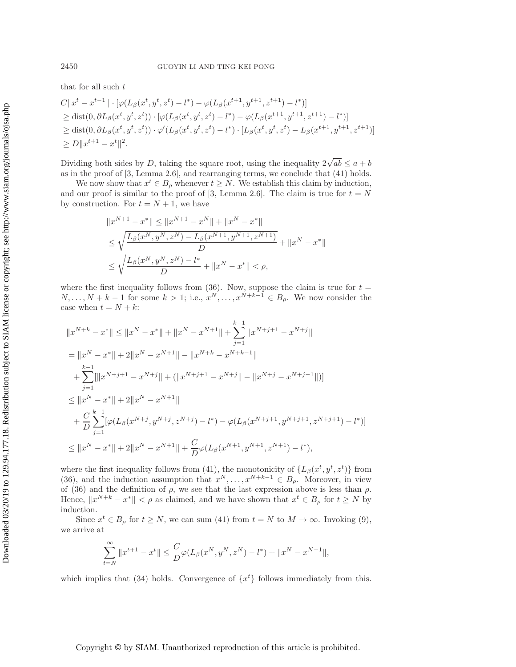that for all such  $t$ 

$$
C||x^{t} - x^{t-1}|| \cdot [\varphi(L_{\beta}(x^{t}, y^{t}, z^{t}) - l^{*}) - \varphi(L_{\beta}(x^{t+1}, y^{t+1}, z^{t+1}) - l^{*})]
$$
  
\n
$$
\geq \text{dist}(0, \partial L_{\beta}(x^{t}, y^{t}, z^{t})) \cdot [\varphi(L_{\beta}(x^{t}, y^{t}, z^{t}) - l^{*}) - \varphi(L_{\beta}(x^{t+1}, y^{t+1}, z^{t+1}) - l^{*})]
$$
  
\n
$$
\geq \text{dist}(0, \partial L_{\beta}(x^{t}, y^{t}, z^{t})) \cdot \varphi'(L_{\beta}(x^{t}, y^{t}, z^{t}) - l^{*}) \cdot [L_{\beta}(x^{t}, y^{t}, z^{t}) - L_{\beta}(x^{t+1}, y^{t+1}, z^{t+1})]
$$
  
\n
$$
\geq D||x^{t+1} - x^{t}||^{2}.
$$

Dividing both sides by D, taking the square root, using the inequality  $2\sqrt{ab} \le a + b$ as in the proof of [\[3,](#page-25-5) Lemma 2.6], and rearranging terms, we conclude that [\(41\)](#page-15-1) holds.

We now show that  $x^t \in B_\rho$  whenever  $t \geq N$ . We establish this claim by induction, and our proof is similar to the proof of [\[3,](#page-25-5) Lemma 2.6]. The claim is true for  $t = N$ by construction. For  $t = N + 1$ , we have

$$
||x^{N+1} - x^*|| \le ||x^{N+1} - x^N|| + ||x^N - x^*||
$$
  
\n
$$
\le \sqrt{\frac{L_\beta(x^N, y^N, z^N) - L_\beta(x^{N+1}, y^{N+1}, z^{N+1})}{D}} + ||x^N - x^*||
$$
  
\n
$$
\le \sqrt{\frac{L_\beta(x^N, y^N, z^N) - l^*}{D}} + ||x^N - x^*|| < \rho,
$$

where the first inequality follows from  $(36)$ . Now, suppose the claim is true for  $t =$  $N,\ldots,N+k-1$  for some  $k>1$ ; i.e.,  $x^{N},\ldots,x^{N+k-1}\in B_{\rho}$ . We now consider the case when  $t = N + k$ :

$$
||x^{N+k} - x^*|| \le ||x^N - x^*|| + ||x^N - x^{N+1}|| + \sum_{j=1}^{k-1} ||x^{N+j+1} - x^{N+j}||
$$
  
\n
$$
= ||x^N - x^*|| + 2||x^N - x^{N+1}|| - ||x^{N+k} - x^{N+k-1}||
$$
  
\n
$$
+ \sum_{j=1}^{k-1} [||x^{N+j+1} - x^{N+j}|| + (||x^{N+j+1} - x^{N+j}|| - ||x^{N+j} - x^{N+j-1}||)]
$$
  
\n
$$
\le ||x^N - x^*|| + 2||x^N - x^{N+1}||
$$
  
\n
$$
+ \frac{C}{D} \sum_{j=1}^{k-1} [\varphi(L_{\beta}(x^{N+j}, y^{N+j}, z^{N+j}) - l^*) - \varphi(L_{\beta}(x^{N+j+1}, y^{N+j+1}, z^{N+j+1}) - l^*)]
$$
  
\n
$$
\le ||x^N - x^*|| + 2||x^N - x^{N+1}|| + \frac{C}{D}\varphi(L_{\beta}(x^{N+1}, y^{N+1}, z^{N+1}) - l^*),
$$

where the first inequality follows from [\(41\)](#page-15-1), the monotonicity of  $\{L_\beta(x^t, y^t, z^t)\}\$ from [\(36\)](#page-14-2), and the induction assumption that  $x^N, \ldots, x^{N+k-1} \in B_\rho$ . Moreover, in view of [\(36\)](#page-14-2) and the definition of  $\rho$ , we see that the last expression above is less than  $\rho$ . Hence,  $||x^{N+k} - x^*|| < \rho$  as claimed, and we have shown that  $x^t \in B_\rho$  for  $t \ge N$  by induction.

Since  $x^t \in B_\rho$  for  $t \geq N$ , we can sum [\(41\)](#page-15-1) from  $t = N$  to  $M \to \infty$ . Invoking [\(9\)](#page-5-2), we arrive at

$$
\sum_{t=N}^{\infty} \|x^{t+1} - x^t\| \le \frac{C}{D} \varphi(L_{\beta}(x^N, y^N, z^N) - l^*) + \|x^N - x^{N-1}\|,
$$

which implies that [\(34\)](#page-14-5) holds. Convergence of  $\{x^{t}\}\$  follows immediately from this.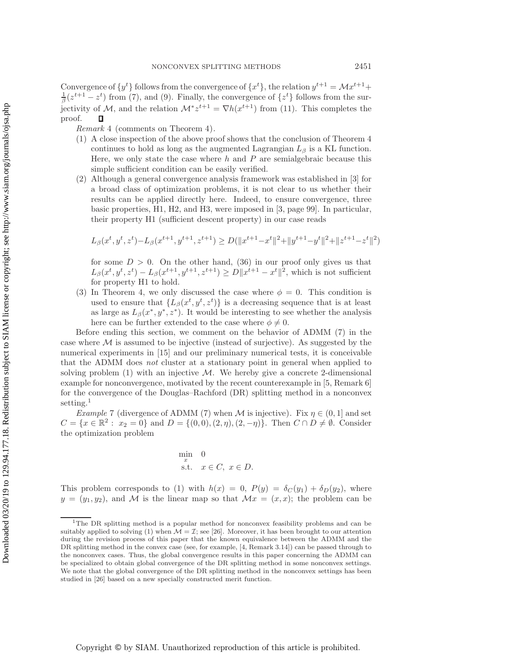Convergence of  $\{y^t\}$  follows from the convergence of  $\{x^t\}$ , the relation  $y^{t+1} = \mathcal{M}x^{t+1} + \mathcal{M}$  $\frac{1}{\beta}(z^{t+1} - z^t)$  from [\(7\)](#page-4-1), and [\(9\)](#page-5-2). Finally, the convergence of  $\{z^t\}$  follows from the surjectivity of M, and the relation  $\mathcal{M}^* z^{t+1} = \nabla h(x^{t+1})$  from [\(11\)](#page-6-0). This completes the proof.  $\Box$ 

<span id="page-17-1"></span>*Remark* 4 (comments on Theorem [4](#page-13-1)).

- (1) A close inspection of the above proof shows that the conclusion of Theorem [4](#page-13-1) continues to hold as long as the augmented Lagrangian  $L_\beta$  is a KL function. Here, we only state the case where  $h$  and  $P$  are semialgebraic because this simple sufficient condition can be easily verified.
- (2) Although a general convergence analysis framework was established in [\[3\]](#page-25-5) for a broad class of optimization problems, it is not clear to us whether their results can be applied directly here. Indeed, to ensure convergence, three basic properties, H1, H2, and H3, were imposed in [\[3,](#page-25-5) page 99]. In particular, their property H1 (sufficient descent property) in our case reads

$$
L_\beta(x^t,y^t,z^t) - L_\beta(x^{t+1},y^{t+1},z^{t+1}) \geq D(\|x^{t+1} - x^t\|^2 + \|y^{t+1} - y^t\|^2 + \|z^{t+1} - z^t\|^2)
$$

for some  $D > 0$ . On the other hand, [\(36\)](#page-14-2) in our proof only gives us that  $L_{\beta}(x^{t}, y^{t}, z^{t}) - L_{\beta}(x^{t+1}, y^{t+1}, z^{t+1}) \ge D||x^{t+1} - x^{t}||^{2}$ , which is not sufficient for property H1 to hold.

(3) In Theorem [4,](#page-13-1) we only discussed the case where  $\phi = 0$ . This condition is used to ensure that  $\{L_\beta(x^t, y^t, z^t)\}\)$  is a decreasing sequence that is at least as large as  $L_{\beta}(x^*, y^*, z^*)$ . It would be interesting to see whether the analysis here can be further extended to the case where  $\phi \neq 0$ .

Before ending this section, we comment on the behavior of ADMM [\(7\)](#page-4-1) in the case where  $M$  is assumed to be injective (instead of surjective). As suggested by the numerical experiments in [\[15\]](#page-25-14) and our preliminary numerical tests, it is conceivable that the ADMM does *not* cluster at a stationary point in general when applied to solving problem  $(1)$  with an injective M. We hereby give a concrete 2-dimensional example for nonconvergence, motivated by the recent counterexample in [\[5,](#page-25-15) Remark 6] for the convergence of the Douglas–Rachford (DR) splitting method in a nonconvex setting.<sup>[1](#page-17-2)</sup>

<span id="page-17-0"></span>*Example* 7 (divergence of ADMM [\(7\)](#page-4-1) when M is injective). Fix  $\eta \in (0, 1]$  and set  $C = \{x \in \mathbb{R}^2 : x_2 = 0\}$  and  $D = \{(0, 0), (2, \eta), (2, -\eta)\}.$  Then  $C \cap D \neq \emptyset$ . Consider the optimization problem

$$
\min_{x} \quad 0
$$
  
s.t.  $x \in C, x \in D.$ 

This problem corresponds to [\(1\)](#page-0-0) with  $h(x) = 0$ ,  $P(y) = \delta_C(y_1) + \delta_D(y_2)$ , where  $y = (y_1, y_2)$ , and M is the linear map so that  $\mathcal{M}x = (x, x)$ ; the problem can be

<span id="page-17-2"></span><sup>1</sup>The DR splitting method is a popular method for nonconvex feasibility problems and can be suitably applied to solving [\(1\)](#page-0-0) when  $\mathcal{M} = \mathcal{I}$ ; see [\[26\]](#page-26-15). Moreover, it has been brought to our attention during the revision process of this paper that the known equivalence between the ADMM and the DR splitting method in the convex case (see, for example, [\[4,](#page-25-16) Remark 3.14]) can be passed through to the nonconvex cases. Thus, the global convergence results in this paper concerning the ADMM can be specialized to obtain global convergence of the DR splitting method in some nonconvex settings. We note that the global convergence of the DR splitting method in the nonconvex settings has been studied in [\[26\]](#page-26-15) based on a new specially constructed merit function.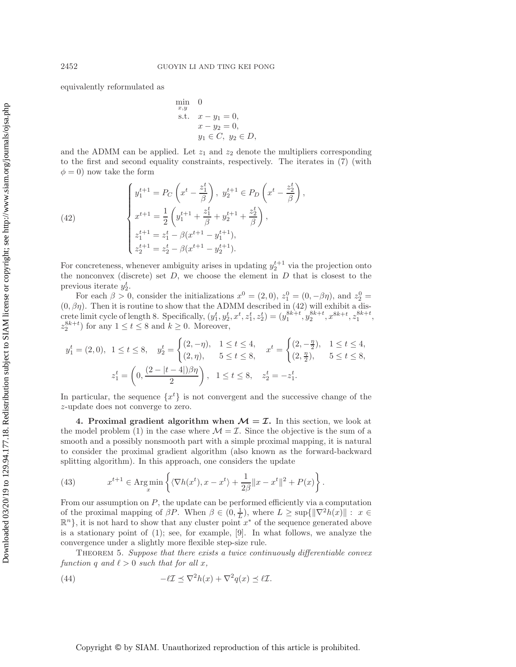equivalently reformulated as

<span id="page-18-2"></span>min  
\n<sub>x,y</sub> 0  
\ns.t. 
$$
x - y_1 = 0
$$
,  
\n $x - y_2 = 0$ ,  
\n $y_1 \in C, y_2 \in D$ ,

and the ADMM can be applied. Let  $z_1$  and  $z_2$  denote the multipliers corresponding to the first and second equality constraints, respectively. The iterates in [\(7\)](#page-4-1) (with  $\phi = 0$ ) now take the form

(42) 
$$
\begin{cases} y_1^{t+1} = P_C\left(x^t - \frac{z_1^t}{\beta}\right), \ y_2^{t+1} \in P_D\left(x^t - \frac{z_2^t}{\beta}\right), \\ x^{t+1} = \frac{1}{2}\left(y_1^{t+1} + \frac{z_1^t}{\beta} + y_2^{t+1} + \frac{z_2^t}{\beta}\right), \\ z_1^{t+1} = z_1^t - \beta(x^{t+1} - y_1^{t+1}), \\ z_2^{t+1} = z_2^t - \beta(x^{t+1} - y_2^{t+1}). \end{cases}
$$

For concreteness, whenever ambiguity arises in updating  $y_2^{t+1}$  via the projection onto<br>the personal discrete) set  $D$ , we choose the element in  $D$  that is closest to the the nonconvex (discrete) set  $D$ , we choose the element in  $D$  that is closest to the previous iterate  $y_2^t$ .<br>For each  $\beta > 0$ 

For each  $\beta > 0$ , consider the initializations  $x^0 = (2, 0)$ ,  $z_1^0 = (0, -\beta\eta)$ , and  $z_2^0 =$ For each  $\beta > 0$ , consider the initializations  $x^0 = (2, 0)$ ,  $z_1^0 = (0, -\beta\eta)$ , and  $z_2^0 = (0, \beta\eta)$ . Then it is routine to show that the ADMM described in [\(42\)](#page-18-2) will exhibit a discrete limit cycle of length 8. Specifically,  $(y_1^t, y_2^t, x^t, z_1^t, z_2^t) = (y_1^{8k+t}, y_2^{8k+t}, x_{1}^{8k+t}, z_1^{8k+t}, z_1^{8k+t})$  $z_2^{8k+t}$  for any  $1 \le t \le 8$  and  $k \ge 0$ . Moreover,

$$
y_1^t = (2,0), \ 1 \le t \le 8, \quad y_2^t = \begin{cases} (2,-\eta), & 1 \le t \le 4, \\ (2,\eta), & 5 \le t \le 8, \end{cases} \quad x^t = \begin{cases} (2,-\frac{\eta}{2}), & 1 \le t \le 4, \\ (2,\frac{\eta}{2}), & 5 \le t \le 8, \end{cases}
$$

$$
z_1^t = \left(0, \frac{(2-|t-4|)\beta\eta}{2}\right), \ 1 \le t \le 8, \quad z_2^t = -z_1^t.
$$

In particular, the sequence  $\{x^t\}$  is not convergent and the successive change of the z-update does not converge to zero.

<span id="page-18-1"></span>**4. Proximal gradient algorithm when**  $M = \mathcal{I}$ **.** In this section, we look at the model problem [\(1\)](#page-0-0) in the case where  $\mathcal{M} = \mathcal{I}$ . Since the objective is the sum of a smooth and a possibly nonsmooth part with a simple proximal mapping, it is natural to consider the proximal gradient algorithm (also known as the forward-backward splitting algorithm). In this approach, one considers the update

<span id="page-18-3"></span>(43) 
$$
x^{t+1} \in \operatorname{Arg\,min}_{x} \left\{ \langle \nabla h(x^t), x - x^t \rangle + \frac{1}{2\beta} ||x - x^t||^2 + P(x) \right\}.
$$

From our assumption on  $P$ , the update can be performed efficiently via a computation of the proximal mapping of  $\beta P$ . When  $\beta \in (0, \frac{1}{L})$ , where  $L \geq \sup\{\|\nabla^2 h(x)\| : x \in$  $\mathbb{R}^n$ , it is not hard to show that any cluster point  $x^*$  of the sequence generated above is a stationary point of [\(1\)](#page-0-0); see, for example, [\[9\]](#page-25-4). In what follows, we analyze the convergence under a slightly more flexible step-size rule.

<span id="page-18-0"></span>Theorem 5. *Suppose that there exists a twice continuously differentiable convex function* q and  $\ell > 0$  *such that for all x,* 

<span id="page-18-4"></span>(44) 
$$
-\ell \mathcal{I} \preceq \nabla^2 h(x) + \nabla^2 q(x) \preceq \ell \mathcal{I}.
$$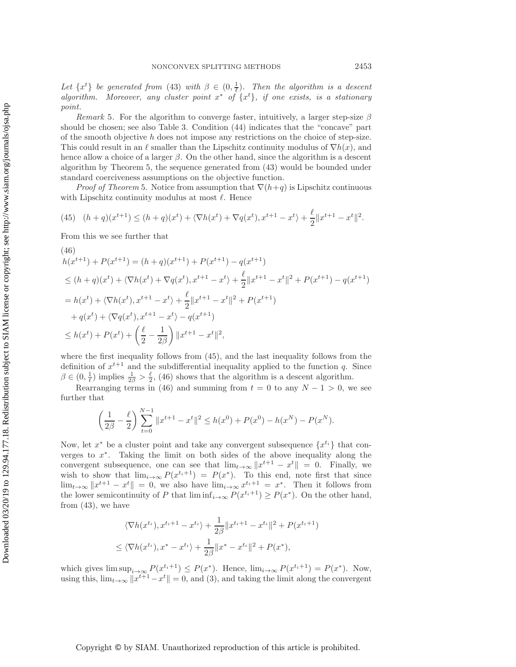Downloaded 03/20/19 to 129.94.177.18. Redistribution subject to SIAM license or copyright; see http://www.siam.org/journals/ojsa.php Downloaded 03/20/19 to 129.94.177.18. Redistribution subject to SIAM license or copyright; see http://www.siam.org/journals/ojsa.php Let  $\{x^t\}$  be generated from [\(43\)](#page-18-3) with  $\beta \in (0, \frac{1}{\ell})$ . Then the algorithm is a descent *algorithm. Moreover, any cluster point* x<sup>∗</sup> *of* {x<sup>t</sup> }*, if one exists, is a stationary*

*Remark* 5. For the algorithm to converge faster, intuitively, a larger step-size  $\beta$ should be chosen; see also Table [3.](#page-24-1) Condition [\(44\)](#page-18-4) indicates that the "concave" part of the smooth objective  $h$  does not impose any restrictions on the choice of step-size. This could result in an  $\ell$  smaller than the Lipschitz continuity modulus of  $\nabla h(x)$ , and hence allow a choice of a larger  $\beta$ . On the other hand, since the algorithm is a descent algorithm by Theorem [5,](#page-18-0) the sequence generated from [\(43\)](#page-18-3) would be bounded under standard coerciveness assumptions on the objective function.

*Proof of Theorem* [5.](#page-18-0) Notice from assumption that  $\nabla(h+q)$  is Lipschitz continuous with Lipschitz continuity modulus at most  $\ell$ . Hence

<span id="page-19-0"></span>(45) 
$$
(h+q)(x^{t+1}) \le (h+q)(x^t) + \langle \nabla h(x^t) + \nabla q(x^t), x^{t+1} - x^t \rangle + \frac{\ell}{2} ||x^{t+1} - x^t||^2.
$$

<span id="page-19-1"></span>From this we see further that

$$
(46)
$$
  
\n
$$
h(x^{t+1}) + P(x^{t+1}) = (h+q)(x^{t+1}) + P(x^{t+1}) - q(x^{t+1})
$$
  
\n
$$
\leq (h+q)(x^{t}) + \langle \nabla h(x^{t}) + \nabla q(x^{t}), x^{t+1} - x^{t} \rangle + \frac{\ell}{2} ||x^{t+1} - x^{t}||^{2} + P(x^{t+1}) - q(x^{t+1})
$$
  
\n
$$
= h(x^{t}) + \langle \nabla h(x^{t}), x^{t+1} - x^{t} \rangle + \frac{\ell}{2} ||x^{t+1} - x^{t}||^{2} + P(x^{t+1})
$$
  
\n
$$
+ q(x^{t}) + \langle \nabla q(x^{t}), x^{t+1} - x^{t} \rangle - q(x^{t+1})
$$
  
\n
$$
\leq h(x^{t}) + P(x^{t}) + \left(\frac{\ell}{2} - \frac{1}{2\beta}\right) ||x^{t+1} - x^{t}||^{2},
$$

where the first inequality follows from [\(45\)](#page-19-0), and the last inequality follows from the definition of  $x^{t+1}$  and the subdifferential inequality applied to the function q. Since  $\beta \in (0, \frac{1}{\ell})$  implies  $\frac{1}{2\beta} > \frac{\ell}{2}$ , [\(46\)](#page-19-1) shows that the algorithm is a descent algorithm.<br>Between terms in (46) and summing from  $t = 0$  to any  $N = 1 > 0$  with

Rearranging terms in [\(46\)](#page-19-1) and summing from  $t = 0$  to any  $N - 1 > 0$ , we see further that

$$
\left(\frac{1}{2\beta} - \frac{\ell}{2}\right) \sum_{t=0}^{N-1} \|x^{t+1} - x^t\|^2 \le h(x^0) + P(x^0) - h(x^N) - P(x^N).
$$

Now, let  $x^*$  be a cluster point and take any convergent subsequence  $\{x^{t_i}\}\$  that converges to x∗. Taking the limit on both sides of the above inequality along the convergent subsequence, one can see that  $\lim_{t\to\infty} ||x^{t+1} - x^t|| = 0$ . Finally, we wish to show that  $\lim_{i\to\infty} P(x^{t_i+1}) = P(x^*)$ . To this end, note first that since  $\lim_{t\to\infty} ||x^{t+1} - x^t|| = 0$ , we also have  $\lim_{t\to\infty} x^{t+1} = x^*$ . Then it follows from the lower semicontinuity of P that  $\liminf_{i\to\infty} P(x^{t_i+1}) \geq P(x^*)$ . On the other hand, from  $(43)$ , we have

$$
\langle \nabla h(x^{t_i}), x^{t_i+1} - x^{t_i} \rangle + \frac{1}{2\beta} \|x^{t_i+1} - x^{t_i}\|^2 + P(x^{t_i+1})
$$
  

$$
\leq \langle \nabla h(x^{t_i}), x^* - x^{t_i} \rangle + \frac{1}{2\beta} \|x^* - x^{t_i}\|^2 + P(x^*),
$$

which gives  $\limsup_{i\to\infty} P(x^{t_i+1}) \leq P(x^*)$ . Hence,  $\lim_{i\to\infty} P(x^{t_i+1}) = P(x^*)$ . Now, using this,  $\lim_{t\to\infty} ||x^{t+1} - x^t|| = 0$ , and [\(3\)](#page-3-1), and taking the limit along the convergent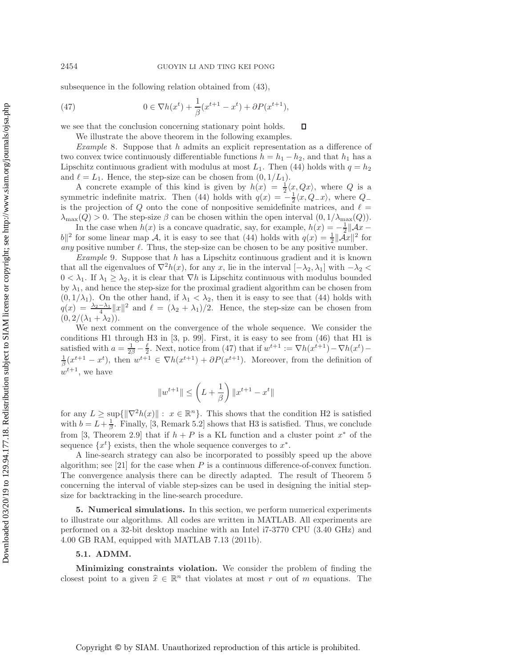subsequence in the following relation obtained from [\(43\)](#page-18-3),

(47) 
$$
0 \in \nabla h(x^t) + \frac{1}{\beta} (x^{t+1} - x^t) + \partial P(x^{t+1}),
$$

we see that the conclusion concerning stationary point holds.  $\Box$ 

<span id="page-20-1"></span>We illustrate the above theorem in the following examples.

*Example* 8. Suppose that h admits an explicit representation as a difference of two convex twice continuously differentiable functions  $h = h_1 - h_2$ , and that  $h_1$  has a Lipschitz continuous gradient with modulus at most  $L_1$ . Then [\(44\)](#page-18-4) holds with  $q = h_2$ and  $\ell = L_1$ . Hence, the step-size can be chosen from  $(0, 1/L_1)$ .

A concrete example of this kind is given by  $h(x) = \frac{1}{2}\langle x, Qx \rangle$ , where Q is a metric indefinite matrix. Then (44) holds with  $g(x) = -\frac{1}{x} \langle x, Q, x \rangle$ , where Q symmetric indefinite matrix. Then [\(44\)](#page-18-4) holds with  $q(x) = -\frac{1}{2}\langle x, Q_{-}x \rangle$ , where  $Q_{-}$ <br>is the projection of Q onto the cone of poppositive semidefinite matrices, and  $\ell$ is the projection of Q onto the cone of nonpositive semidefinite matrices, and  $\ell =$  $\lambda_{\max}(Q) > 0$ . The step-size  $\beta$  can be chosen within the open interval  $(0, 1/\lambda_{\max}(Q))$ .

In the case when  $h(x)$  is a concave quadratic, say, for example,  $h(x) = -\frac{1}{2} ||\mathcal{A}x -$ <br>for some linear map A it is easy to see that (44) holds with  $g(x) = \frac{1}{2} ||A_x||^2$  for  $|b||^2$  for some linear map A, it is easy to see that [\(44\)](#page-18-4) holds with  $q(x) = \frac{1}{2} ||Ax||^2$  for any positive number  $\ell$ . Thus, the step-size can be chosen to be any positive number. *any* positive number  $\ell$ . Thus, the step-size can be chosen to be any positive number.

*Example* 9. Suppose that h has a Lipschitz continuous gradient and it is known that all the eigenvalues of  $\nabla^2 h(x)$ , for any x, lie in the interval  $[-\lambda_2, \lambda_1]$  with  $-\lambda_2$  $0 < \lambda_1$ . If  $\lambda_1 \geq \lambda_2$ , it is clear that  $\nabla h$  is Lipschitz continuous with modulus bounded by  $\lambda_1$ , and hence the step-size for the proximal gradient algorithm can be chosen from  $(0, 1/\lambda_1)$ . On the other hand, if  $\lambda_1 < \lambda_2$ , then it is easy to see that [\(44\)](#page-18-4) holds with  $q(x) = \frac{\lambda_2 - \lambda_1}{4} ||x||^2$  and  $\ell = (\lambda_2 + \lambda_1)/2$ . Hence, the step-size can be chosen from  $(0, 2/(\lambda_1 + \lambda_2))$  $(0, 2/(\lambda_1 + \lambda_2)).$ 

We next comment on the convergence of the whole sequence. We consider the conditions H1 through H3 in [\[3,](#page-25-5) p. 99]. First, it is easy to see from [\(46\)](#page-19-1) that H1 is satisfied with  $a = \frac{1}{2\beta} - \frac{\ell}{2}$ . Next, notice from [\(47\)](#page-20-1) that if  $w^{t+1} := \nabla h(x^{t+1}) - \nabla h(x^t) -$ <br> $\frac{1}{2} (x^{t+1} - x^t)$ , then  $w^{t+1} \in \nabla h(x^{t+1}) + 3D(x^{t+1})$ . Moreover, from the definition of  $\frac{1}{\beta}(x^{t+1} - x^t)$ , then  $w^{t+1} \in \nabla h(x^{t+1}) + \partial P(x^{t+1})$ . Moreover, from the definition of  $w^{t+1}$ , we have

$$
\|w^{t+1}\|\leq \left(L+\frac{1}{\beta}\right)\|x^{t+1}-x^t\|
$$

for any  $L \geq \sup\{\|\nabla^2 h(x)\| : x \in \mathbb{R}^n\}$ . This shows that the condition H2 is satisfied with  $b = L + \frac{1}{\beta}$ . Finally, [\[3,](#page-25-5) Remark 5.2] shows that H3 is satisfied. Thus, we conclude from [\[3,](#page-25-5) Theorem 2.9] that if  $h + P$  is a KL function and a cluster point  $x^*$  of the sequence  $\{x^t\}$  exists, then the whole sequence converges to  $x^*$ .

A line-search strategy can also be incorporated to possibly speed up the above algorithm; see  $[21]$  for the case when P is a continuous difference-of-convex function. The convergence analysis there can be directly adapted. The result of Theorem [5](#page-18-0) concerning the interval of viable step-sizes can be used in designing the initial stepsize for backtracking in the line-search procedure.

<span id="page-20-0"></span>**5. Numerical simulations.** In this section, we perform numerical experiments to illustrate our algorithms. All codes are written in MATLAB. All experiments are performed on a 32-bit desktop machine with an Intel i7-3770 CPU (3.40 GHz) and 4.00 GB RAM, equipped with MATLAB 7.13 (2011b).

## **5.1. ADMM.**

**Minimizing constraints violation.** We consider the problem of finding the closest point to a given  $\hat{x} \in \mathbb{R}^n$  that violates at most r out of m equations. The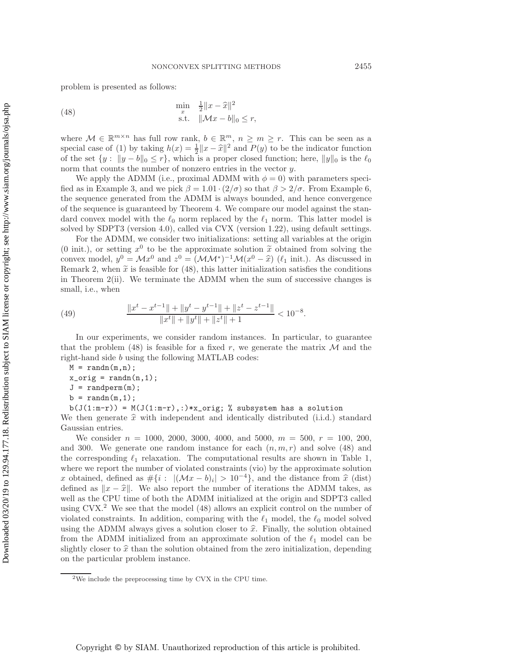<span id="page-21-0"></span>problem is presented as follows:

(48) 
$$
\min_{x} \quad \frac{1}{2} \|x - \widehat{x}\|^2 \n\text{s.t.} \quad \|\mathcal{M}x - b\|_0 \le r,
$$

where  $M \in \mathbb{R}^{m \times n}$  has full row rank,  $b \in \mathbb{R}^m$ ,  $n \geq m \geq r$ . This can be seen as a special case of [\(1\)](#page-0-0) by taking  $h(x) = \frac{1}{2} ||x - \hat{x}||^2$  and  $P(y)$  to be the indicator function<br>of the set  $\{y : ||y - b||_2 \le r\}$  which is a proper closed function; here  $||y||_2$  is the  $\ell_2$ of the set  $\{y : ||y - b||_0 \le r\}$ , which is a proper closed function; here,  $||y||_0$  is the  $\ell_0$ norm that counts the number of nonzero entries in the vector y.

We apply the ADMM (i.e., proximal ADMM with  $\phi = 0$ ) with parameters speci-fied as in Example [3,](#page-11-4) and we pick  $\beta = 1.01 \cdot (2/\sigma)$  so that  $\beta > 2/\sigma$ . From Example [6,](#page-13-0) the sequence generated from the ADMM is always bounded, and hence convergence of the sequence is guaranteed by Theorem [4.](#page-13-1) We compare our model against the standard convex model with the  $\ell_0$  norm replaced by the  $\ell_1$  norm. This latter model is solved by SDPT3 (version 4.0), called via CVX (version 1.22), using default settings.

For the ADMM, we consider two initializations: setting all variables at the origin (0 init.), or setting  $x^0$  to be the approximate solution  $\tilde{x}$  obtained from solving the convex model,  $y^0 = \mathcal{M}x^0$  and  $z^0 = (\mathcal{M}M^*)^{-1}\mathcal{M}(x^0 - \hat{x})$  ( $\ell_1$  init.). As discussed in Remark [2,](#page-7-3) when  $\tilde{x}$  is feasible for [\(48\)](#page-21-0), this latter initialization satisfies the conditions in Theorem [2\(](#page-6-2)ii). We terminate the ADMM when the sum of successive changes is small, i.e., when

<span id="page-21-2"></span>(49) 
$$
\frac{\|x^t - x^{t-1}\| + \|y^t - y^{t-1}\| + \|z^t - z^{t-1}\|}{\|x^t\| + \|y^t\| + \|z^t\| + 1} < 10^{-8}.
$$

In our experiments, we consider random instances. In particular, to guarantee that the problem [\(48\)](#page-21-0) is feasible for a fixed r, we generate the matrix  $\mathcal M$  and the right-hand side b using the following MATLAB codes:

- $J = \text{randperm}(m)$ ;
- $b = \text{randn}(m, 1);$

 $b(J(1:m-r)) = M(J(1:m-r),:) *x_corig; %$  subsystem has a solution

We then generate  $\hat{x}$  with independent and identically distributed (i.i.d.) standard Gaussian entries.

We consider  $n = 1000, 2000, 3000, 4000,$  and 5000,  $m = 500, r = 100, 200,$ and 300. We generate one random instance for each  $(n, m, r)$  and solve [\(48\)](#page-21-0) and the corresponding  $\ell_1$  relaxation. The computational results are shown in Table [1,](#page-22-0) where we report the number of violated constraints (vio) by the approximate solution x obtained, defined as  $\#\{i: |(\mathcal{M}x - b)_i| > 10^{-4}\}$ , and the distance from  $\hat{x}$  (dist) defined as  $||x - \hat{x}||$ . We also report the number of iterations the ADMM takes, as well as the CPU time of both the ADMM initialized at the origin and SDPT3 called using  $CVX<sup>2</sup>$  $CVX<sup>2</sup>$  $CVX<sup>2</sup>$  We see that the model [\(48\)](#page-21-0) allows an explicit control on the number of violated constraints. In addition, comparing with the  $\ell_1$  model, the  $\ell_0$  model solved using the ADMM always gives a solution closer to  $\hat{x}$ . Finally, the solution obtained from the ADMM initialized from an approximate solution of the  $\ell_1$  model can be slightly closer to  $\hat{x}$  than the solution obtained from the zero initialization, depending on the particular problem instance.

 $M = \text{randn}(m,n)$ ;  $x_c$ orig = randn $(n,1)$ ;

<span id="page-21-1"></span><sup>2</sup>We include the preprocessing time by CVX in the CPU time.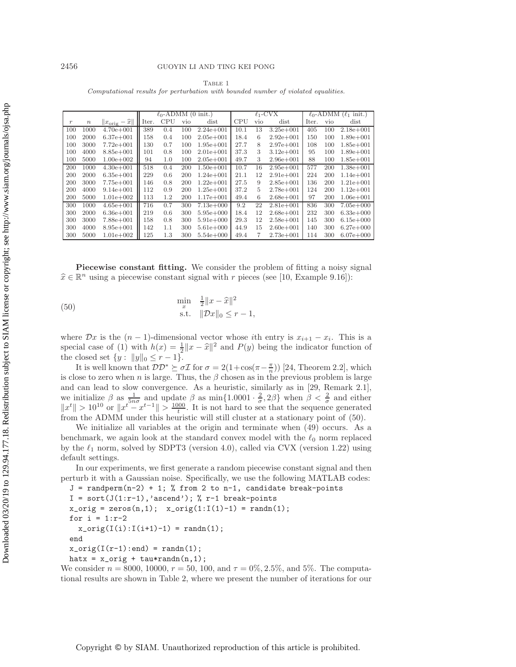<span id="page-22-0"></span>

|                                                                                    | TABLE 1 |  |
|------------------------------------------------------------------------------------|---------|--|
| Computational results for perturbation with bounded number of violated equalities. |         |  |

|       |        |                                     | $\ell_0$ -ADMM (0 init.) |     |     | $\ell_1$ -CVX |      |     | $\ell_0$ -ADMM $(\ell_1$ init.) |       |     |               |
|-------|--------|-------------------------------------|--------------------------|-----|-----|---------------|------|-----|---------------------------------|-------|-----|---------------|
| $\,r$ | $\, n$ | $  x_{\text{orig}} - \widehat{x}  $ | Iter.                    | CPU | vio | dist          | CPU  | vio | dist                            | Iter. | vio | dist          |
| 100   | 1000   | $4.70e + 001$                       | 389                      | 0.4 | 100 | $2.24e + 001$ | 10.1 | 13  | $3.25e + 001$                   | 405   | 100 | $2.18e + 001$ |
| 100   | 2000   | $6.37e + 001$                       | 158                      | 0.4 | 100 | $2.05e + 001$ | 18.4 | 6   | $2.92e + 001$                   | 150   | 100 | $1.89e + 001$ |
| 100   | 3000   | $7.72e+001$                         | 130                      | 0.7 | 100 | $1.95e + 001$ | 27.7 | 8   | $2.97e + 001$                   | 108   | 100 | $1.85e + 001$ |
| 100   | 4000   | $8.85e + 001$                       | 101                      | 0.8 | 100 | $2.01e + 001$ | 37.3 | 3   | $3.12e + 001$                   | 95    | 100 | $1.89e + 001$ |
| 100   | 5000   | $1.00e + 002$                       | 94                       | 1.0 | 100 | $2.05e + 001$ | 49.7 | 3   | $2.96e + 001$                   | 88    | 100 | $1.85e + 001$ |
| 200   | 1000   | $4.30e + 001$                       | 518                      | 0.4 | 200 | $1.50e + 001$ | 10.7 | 16  | $2.95e + 001$                   | 577   | 200 | $1.38e + 001$ |
| 200   | 2000   | $6.35e + 001$                       | 229                      | 0.6 | 200 | $1.24e + 001$ | 21.1 | 12  | $2.91e + 001$                   | 224   | 200 | $1.14e + 001$ |
| 200   | 3000   | $7.75e + 001$                       | 146                      | 0.8 | 200 | $1.22e + 001$ | 27.5 | 9   | $2.85e + 001$                   | 136   | 200 | $1.21e + 001$ |
| 200   | 4000   | $9.14e + 001$                       | 112                      | 0.9 | 200 | $1.25e + 001$ | 37.2 | 5   | $2.78e + 001$                   | 124   | 200 | $1.12e + 001$ |
| 200   | 5000   | $1.01e + 002$                       | 113                      | 1.2 | 200 | $1.17e + 001$ | 49.4 | 6   | $2.68e + 001$                   | 97    | 200 | $1.06e + 001$ |
| 300   | 1000   | $4.65e + 001$                       | 716                      | 0.7 | 300 | $7.13e+000$   | 9.2  | 22  | $2.81e + 001$                   | 836   | 300 | $7.05e + 000$ |
| 300   | 2000   | $6.36e + 001$                       | 219                      | 0.6 | 300 | $5.95e + 000$ | 18.4 | 12  | $2.68e + 001$                   | 232   | 300 | $6.33e + 000$ |
| 300   | 3000   | $7.88e + 001$                       | 158                      | 0.8 | 300 | $5.91e+000$   | 29.3 | 12  | $2.58e + 001$                   | 145   | 300 | $6.15e + 000$ |
| 300   | 4000   | $8.95e + 001$                       | 142                      | 1.1 | 300 | $5.61e + 000$ | 44.9 | 15  | $2.60e + 001$                   | 140   | 300 | $6.27e + 000$ |
| 300   | 5000   | $1.01e + 002$                       | 125                      | 1.3 | 300 | $5.54e + 000$ | 49.4 | 7   | $2.73e + 001$                   | 114   | 300 | $6.07e + 000$ |

**Piecewise constant fitting.** We consider the problem of fitting a noisy signal  $\hat{x} \in \mathbb{R}^n$  using a piecewise constant signal with r pieces (see [\[10,](#page-25-17) Example 9.16]):

<span id="page-22-1"></span>(50) 
$$
\min_{x} \frac{\frac{1}{2} \|x - \hat{x}\|^2}{\text{s.t.}} \frac{\|x - \hat{x}\|^2}{\|\mathcal{D}x\|_0 \leq r - 1},
$$

where  $\mathcal{D}x$  is the  $(n-1)$ -dimensional vector whose *i*th entry is  $x_{i+1} - x_i$ . This is a special case of [\(1\)](#page-0-0) with  $h(x) = \frac{1}{2} ||x - \hat{x}||^2$  and  $P(y)$  being the indicator function of<br>the closed set  $\{y : ||y||_2 \leq r - 1\}$ the closed set  $\{y : ||y||_0 \le r - 1\}.$ 

It is well known that  $\mathcal{DD}^* \succeq \sigma \mathcal{I}$  for  $\sigma = 2(1 + \cos(\pi - \frac{\pi}{n}))$  [\[24,](#page-26-16) Theorem 2.2], which is close to zero when n is large. Thus, the  $\beta$  chosen as in the previous problem is large and can lead to slow convergence. As a heuristic, similarly as in [\[29,](#page-26-17) Remark 2.1], we initialize  $\beta$  as  $\frac{1}{5n\sigma}$  and update  $\beta$  as  $\min\{1.0001 \cdot \frac{2}{\sigma}, 2\beta\}$  when  $\beta < \frac{2}{\sigma}$  and either  $||x^t|| > 10^{10}$  or  $||x^t - x^{t-1}|| > 10^{10}$ .  $||x^t|| > 10^{10}$  or  $||x^t - x^{t-1}|| > \frac{1000}{t}$ . It is not hard to see that the sequence generated from the ADMM under this heuristic will still cluster at a stationary point of [\(50\)](#page-22-1).

We initialize all variables at the origin and terminate when [\(49\)](#page-21-2) occurs. As a benchmark, we again look at the standard convex model with the  $\ell_0$  norm replaced by the  $\ell_1$  norm, solved by SDPT3 (version 4.0), called via CVX (version 1.22) using default settings.

In our experiments, we first generate a random piecewise constant signal and then perturb it with a Gaussian noise. Specifically, we use the following MATLAB codes:

```
J = \text{randperm}(n-2) + 1; % from 2 to n-1, candidate break-points
I = sort(J(1:r-1), 'ascend'); % r-1 break-pointsx_corig = zeros(n,1); x_corig(1:I(1)-1) = randn(1);
for i = 1:r-2x_corig(I(i):I(i+1)-1) = randn(1);
end
x_corig(I(r-1):end) = randn(1);
```
hatx =  $x_c$ orig + tau\*randn(n,1);

We consider  $n = 8000, 10000, r = 50, 100, \text{ and } \tau = 0\%, 2.5\%, \text{ and } 5\%.$  The computational results are shown in Table [2,](#page-23-0) where we present the number of iterations for our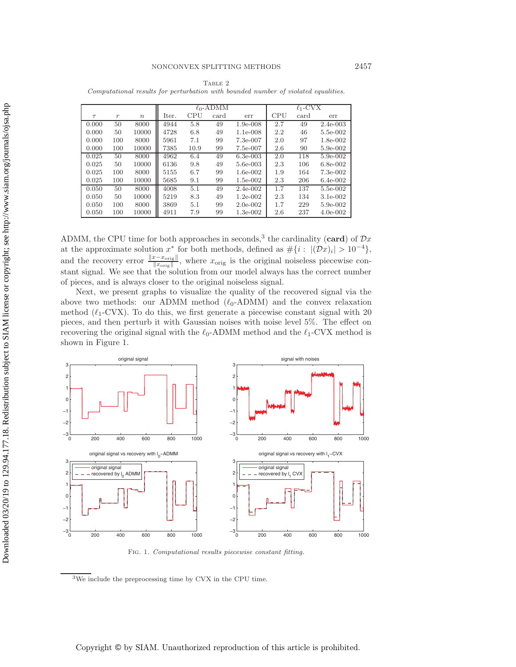<span id="page-23-0"></span>

|        |                  |                  |       |      | $\ell_0$ -ADMM |            |     | $\ell_1$ -CVX |            |
|--------|------------------|------------------|-------|------|----------------|------------|-----|---------------|------------|
| $\tau$ | $\boldsymbol{r}$ | $\boldsymbol{n}$ | Iter. | CPU  | card           | err        | CPU | card          | err        |
| 0.000  | 50               | 8000             | 4944  | 5.8  | 49             | $1.9e-008$ | 2.7 | 49            | $2.4e-003$ |
| 0.000  | 50               | 10000            | 4728  | 6.8  | 49             | $1.1e-008$ | 2.2 | 46            | 5.5e-002   |
| 0.000  | 100              | 8000             | 5961  | 7.1  | 99             | 7.3e-007   | 2.0 | 97            | $1.8e-002$ |
| 0.000  | 100              | 10000            | 7385  | 10.9 | 99             | 7.5e-007   | 2.6 | 90            | 5.9e-002   |
| 0.025  | 50               | 8000             | 4962  | 6.4  | 49             | $6.3e-003$ | 2.0 | 118           | 5.9e-002   |
| 0.025  | 50               | 10000            | 6136  | 9.8  | 49             | 5.6e-003   | 2.3 | 106           | $6.8e-002$ |
| 0.025  | 100              | 8000             | 5155  | 6.7  | 99             | $1.6e-002$ | 1.9 | 164           | 7.3e-002   |
| 0.025  | 100              | 10000            | 5685  | 9.1  | 99             | $1.5e-002$ | 2.3 | 206           | $6.4e-002$ |
| 0.050  | 50               | 8000             | 4008  | 5.1  | 49             | $2.4e-002$ | 1.7 | 137           | 5.5e-002   |
| 0.050  | 50               | 10000            | 5219  | 8.3  | 49             | $1.2e-002$ | 2.3 | 134           | $3.1e-002$ |
| 0.050  | 100              | 8000             | 3869  | 5.1  | 99             | $2.0e-002$ | 1.7 | 229           | 5.9e-002   |
| 0.050  | 100              | 10000            | 4911  | 7.9  | 99             | $1.3e-002$ | 2.6 | 237           | $4.0e-002$ |

TABLE 2 Computational results for perturbation with bounded number of violated equalities.

ADMM, the CPU time for both approaches in seconds,<sup>[3](#page-23-1)</sup> the cardinality (card) of  $\mathcal{D}x$ at the approximate solution  $x^*$  for both methods, defined as  $\#\{i: |(Dx)_i| > 10^{-4}\},\$ and the recovery error  $\frac{\|x-x_{\text{orig}}\|}{\|x_{\text{orig}}\|}$ , where  $x_{\text{orig}}$  is the original noiseless piecewise constant signal. We see that the solution from our model always has the correct number of pieces, and is always closer to the original noiseless signal.

Next, we present graphs to visualize the quality of the recovered signal via the above two methods: our ADMM method  $(\ell_0$ -ADMM) and the convex relaxation method  $(\ell_1$ -CVX). To do this, we first generate a piecewise constant signal with 20 pieces, and then perturb it with Gaussian noises with noise level 5%. The effect on recovering the original signal with the  $\ell_0$ -ADMM method and the  $\ell_1$ -CVX method is shown in Figure [1.](#page-23-2)



<span id="page-23-2"></span>Fig. 1. Computational results piecewise constant fitting.

<span id="page-23-1"></span><sup>3</sup>We include the preprocessing time by CVX in the CPU time.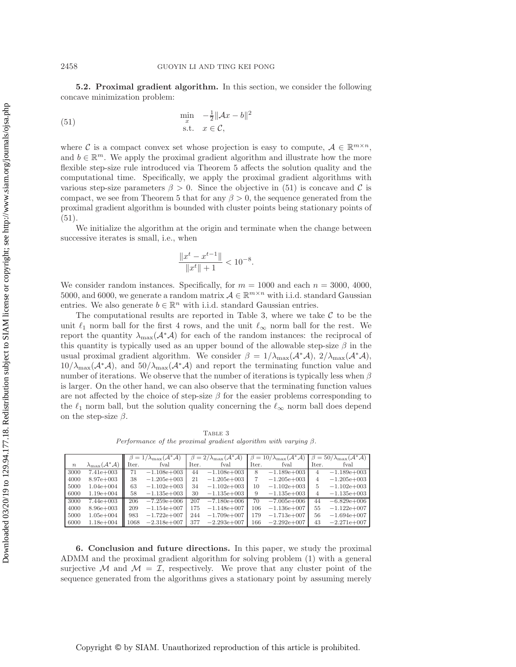<span id="page-24-2"></span>**5.2. Proximal gradient algorithm.** In this section, we consider the following concave minimization problem:

(51) 
$$
\min_{x} \quad -\frac{1}{2} ||Ax - b||^2
$$
  
s.t.  $x \in \mathcal{C}$ ,

where C is a compact convex set whose projection is easy to compute,  $A \in \mathbb{R}^{m \times n}$ , and  $b \in \mathbb{R}^m$ . We apply the proximal gradient algorithm and illustrate how the more flexible step-size rule introduced via Theorem [5](#page-18-0) affects the solution quality and the computational time. Specifically, we apply the proximal gradient algorithms with various step-size parameters  $\beta > 0$ . Since the objective in [\(51\)](#page-24-2) is concave and C is compact, we see from Theorem [5](#page-18-0) that for any  $\beta > 0$ , the sequence generated from the proximal gradient algorithm is bounded with cluster points being stationary points of  $(51).$  $(51).$ 

We initialize the algorithm at the origin and terminate when the change between successive iterates is small, i.e., when

$$
\frac{\|x^t - x^{t-1}\|}{\|x^t\| + 1} < 10^{-8}.
$$

We consider random instances. Specifically, for  $m = 1000$  and each  $n = 3000, 4000$ , 5000, and 6000, we generate a random matrix  $A \in \mathbb{R}^{m \times n}$  with i.i.d. standard Gaussian entries. We also generate  $b \in \mathbb{R}^n$  with i.i.d. standard Gaussian entries.

The computational results are reported in Table [3,](#page-24-1) where we take  $\mathcal C$  to be the unit  $\ell_1$  norm ball for the first 4 rows, and the unit  $\ell_{\infty}$  norm ball for the rest. We report the quantity  $\lambda_{\max}(\mathcal{A}^*\mathcal{A})$  for each of the random instances: the reciprocal of this quantity is typically used as an upper bound of the allowable step-size  $\beta$  in the usual proximal gradient algorithm. We consider  $\beta = 1/\lambda_{\max}(\mathcal{A}^*\mathcal{A}), 2/\lambda_{\max}(\mathcal{A}^*\mathcal{A}),$  $10/\lambda_{\text{max}}(\mathcal{A}^*\mathcal{A})$ , and  $50/\lambda_{\text{max}}(\mathcal{A}^*\mathcal{A})$  and report the terminating function value and number of iterations. We observe that the number of iterations is typically less when  $\beta$ is larger. On the other hand, we can also observe that the terminating function values are not affected by the choice of step-size  $\beta$  for the easier problems corresponding to the  $\ell_1$  norm ball, but the solution quality concerning the  $\ell_{\infty}$  norm ball does depend on the step-size  $\beta$ .

<span id="page-24-1"></span>TABLE 3 Performance of the proximal gradient algorithm with varying  $\beta$ .

|                  |                                            | $=1/\lambda_{\max}(\mathcal{A}^*\mathcal{A})$ |               | $\beta = 2/\lambda_{\max}(\mathcal{A}^*\mathcal{A})$ |               | $\beta = 10/\lambda_{\max}(\mathcal{A}^*\mathcal{A})$ |                | $\beta = 50/\lambda_{\text{max}}(\mathcal{A}^*\mathcal{A})$ |               |
|------------------|--------------------------------------------|-----------------------------------------------|---------------|------------------------------------------------------|---------------|-------------------------------------------------------|----------------|-------------------------------------------------------------|---------------|
| $\boldsymbol{n}$ | $\lambda_{\max}(\mathcal{A}^*\mathcal{A})$ | Iter.                                         | fval          | Iter.                                                | fval          | Iter.                                                 | fval           | Iter.                                                       | fval          |
| 3000             | $7.41e+003$                                | 71                                            | $-1.108e+003$ | 44                                                   | $-1.108e+003$ | 8                                                     | $-1.189e+003$  | 4                                                           | $-1.189e+003$ |
| 4000             | $8.97e+003$                                | 38                                            | $-1.205e+003$ | 21                                                   | $-1.205e+003$ |                                                       | $-1.205e+003$  | 4                                                           | $-1.205e+003$ |
| 5000             | $1.04e + 004$                              | 63                                            | $-1.102e+003$ | 34                                                   | $-1.102e+003$ | 10                                                    | $-1.102e+0.03$ | 5                                                           | $-1.102e+003$ |
| 6000             | $1.19e + 004$                              | 58                                            | $-1.135e+003$ | 30                                                   | $-1.135e+003$ | 9                                                     | $-1.135e+003$  | 4                                                           | $-1.135e+003$ |
| 3000             | $7.44e + 003$                              | 206                                           | $-7.259e+006$ | 207                                                  | $-7.180e+006$ | 70                                                    | $-7.005e+006$  | 44                                                          | $-6.829e+006$ |
| 4000             | $8.96e + 003$                              | 209                                           | $-1.154e+007$ | 175                                                  | $-1.148e+007$ | 106                                                   | $-1.136e+007$  | 55                                                          | $-1.122e+007$ |
| 5000             | $1.05e + 004$                              | 983                                           | $-1.722e+007$ | 244                                                  | $-1.709e+007$ | 179                                                   | $-1.713e+007$  | 56                                                          | $-1.694e+007$ |
| 6000             | $1.18e + 004$                              | 1068                                          | $-2.318e+007$ | 377                                                  | $-2.293e+007$ | 166                                                   | $-2.292e+007$  | 43                                                          | $-2.271e+007$ |

<span id="page-24-0"></span>**6. Conclusion and future directions.** In this paper, we study the proximal ADMM and the proximal gradient algorithm for solving problem [\(1\)](#page-0-0) with a general surjective M and  $M = \mathcal{I}$ , respectively. We prove that any cluster point of the sequence generated from the algorithms gives a stationary point by assuming merely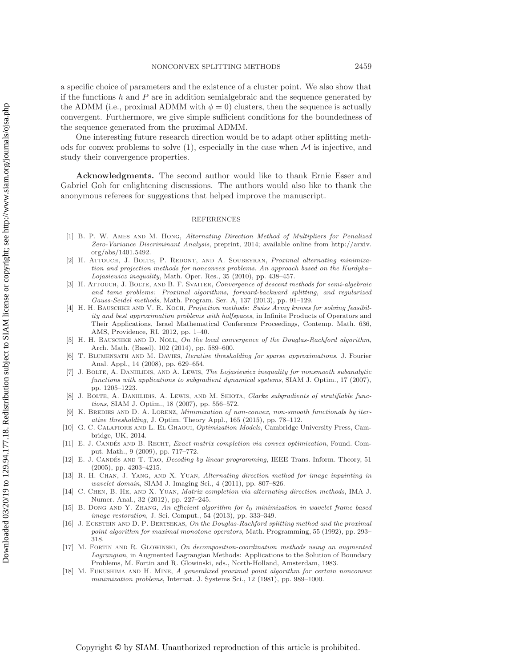a specific choice of parameters and the existence of a cluster point. We also show that if the functions  $h$  and  $P$  are in addition semialgebraic and the sequence generated by the ADMM (i.e., proximal ADMM with  $\phi = 0$ ) clusters, then the sequence is actually convergent. Furthermore, we give simple sufficient conditions for the boundedness of the sequence generated from the proximal ADMM.

One interesting future research direction would be to adapt other splitting methods for convex problems to solve  $(1)$ , especially in the case when  $\mathcal M$  is injective, and study their convergence properties.

**Acknowledgments.** The second author would like to thank Ernie Esser and Gabriel Goh for enlightening discussions. The authors would also like to thank the anonymous referees for suggestions that helped improve the manuscript.

#### REFERENCES

- <span id="page-25-10"></span>[1] B. P. W. Ames and M. Hong, Alternating Direction Method of Multipliers for Penalized Zero-Variance Discriminant Analysis, preprint, 2014; available online from [http://arxiv.](http://arxiv.org/abs/1401.5492) [org/abs/1401.5492.](http://arxiv.org/abs/1401.5492)
- <span id="page-25-11"></span>[2] H. ATTOUCH, J. BOLTE, P. REDONT, AND A. SOUBEYRAN, Proximal alternating minimization and projection methods for nonconvex problems. An approach based on the Kurdyka– Lojasiewicz inequality, Math. Oper. Res., 35 (2010), pp. 438–457.
- <span id="page-25-5"></span>[3] H. ATTOUCH, J. BOLTE, AND B. F. SVAITER, Convergence of descent methods for semi-algebraic and tame problems: Proximal algorithms, forward-backward splitting, and regularized Gauss-Seidel methods, Math. Program. Ser. A, 137 (2013), pp. 91–129.
- <span id="page-25-16"></span>[4] H. H. BAUSCHKE AND V. R. KOCH, Projection methods: Swiss Army knives for solving feasibility and best approximation problems with halfspaces, in Infinite Products of Operators and Their Applications, Israel Mathematical Conference Proceedings, Contemp. Math. 636, AMS, Providence, RI, 2012, pp. 1–40.
- <span id="page-25-15"></span>[5] H. H. BAUSCHKE AND D. NOLL, On the local convergence of the Douglas-Rachford algorithm, Arch. Math. (Basel), 102 (2014), pp. 589–600.
- <span id="page-25-0"></span>[6] T. BLUMENSATH AND M. DAVIES, Iterative thresholding for sparse approximations, J. Fourier Anal. Appl., 14 (2008), pp. 629–654.
- <span id="page-25-13"></span>[7] J. BOLTE, A. DANIILIDIS, AND A. LEWIS, The Lojasiewicz inequality for nonsmooth subanalytic functions with applications to subgradient dynamical systems, SIAM J. Optim., 17 (2007), pp. 1205–1223.
- <span id="page-25-12"></span>[8] J. BOLTE, A. DANIILIDIS, A. LEWIS, AND M. SHIOTA, Clarke subgradients of stratifiable functions, SIAM J. Optim., 18 (2007), pp. 556–572.
- <span id="page-25-4"></span>[9] K. BREDIES AND D. A. LORENZ, *Minimization of non-convex, non-smooth functionals by iter*ative thresholding, J. Optim. Theory Appl., 165 (2015), pp. 78–112.
- <span id="page-25-17"></span>[10] G. C. CALAFIORE AND L. EL GHAOUI, Optimization Models, Cambridge University Press, Cambridge, UK, 2014.
- <span id="page-25-1"></span>[11] E. J. CANDÉS AND B. RECHT, Exact matrix completion via convex optimization, Found. Comput. Math., 9 (2009), pp. 717–772.
- <span id="page-25-2"></span>[12] E. J. CANDÉS AND T. TAO, Decoding by linear programming, IEEE Trans. Inform. Theory, 51 (2005), pp. 4203–4215.
- <span id="page-25-8"></span>[13] R. H. Chan, J. Yang, and X. Yuan, Alternating direction method for image inpainting in wavelet domain, SIAM J. Imaging Sci., 4 (2011), pp. 807–826.
- <span id="page-25-9"></span>[14] C. Chen, B. He, and X. Yuan, Matrix completion via alternating direction methods, IMA J. Numer. Anal., 32 (2012), pp. 227–245.
- <span id="page-25-14"></span>[15] B. DONG AND Y. ZHANG, An efficient algorithm for  $\ell_0$  minimization in wavelet frame based image restoration, J. Sci. Comput., 54 (2013), pp. 333–349.
- <span id="page-25-6"></span>[16] J. ECKSTEIN AND D. P. BERTSEKAS, On the Douglas-Rachford splitting method and the proximal point algorithm for maximal monotone operators, Math. Programming, 55 (1992), pp. 293– 318.
- <span id="page-25-7"></span>[17] M. Fortin and R. Glowinski, On decomposition-coordination methods using an augmented Lagrangian, in Augmented Lagrangian Methods: Applications to the Solution of Boundary Problems, M. Fortin and R. Glowinski, eds., North-Holland, Amsterdam, 1983.
- <span id="page-25-3"></span>[18] M. Fukushima and H. Mine, A generalized proximal point algorithm for certain nonconvex minimization problems, Internat. J. Systems Sci., 12 (1981), pp. 989–1000.